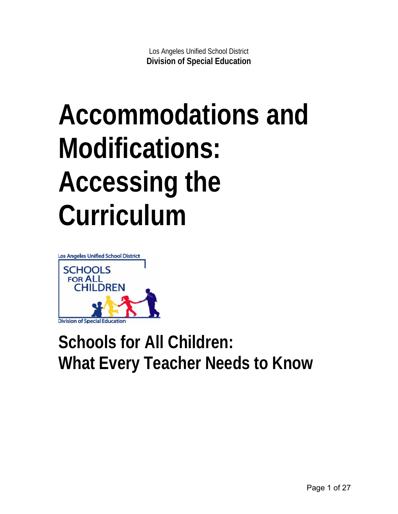# **Accommodations and Modifications: Accessing the Curriculum**



## **Schools for All Children: What Every Teacher Needs to Know**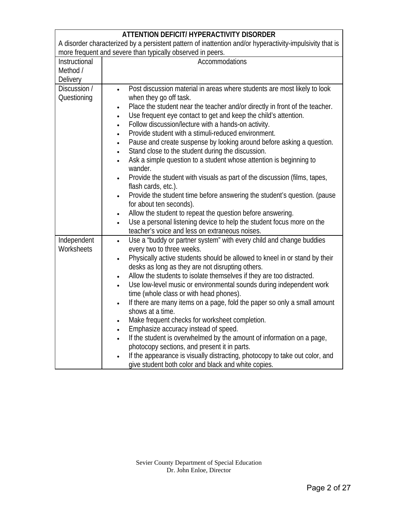| <b>ATTENTION DEFICIT/ HYPERACTIVITY DISORDER</b>                                                         |                                                                                                                                                                                                                                                                                                                                                                                                                                                                                    |  |
|----------------------------------------------------------------------------------------------------------|------------------------------------------------------------------------------------------------------------------------------------------------------------------------------------------------------------------------------------------------------------------------------------------------------------------------------------------------------------------------------------------------------------------------------------------------------------------------------------|--|
| A disorder characterized by a persistent pattern of inattention and/or hyperactivity-impulsivity that is |                                                                                                                                                                                                                                                                                                                                                                                                                                                                                    |  |
|                                                                                                          | more frequent and severe than typically observed in peers.                                                                                                                                                                                                                                                                                                                                                                                                                         |  |
| Instructional                                                                                            | Accommodations                                                                                                                                                                                                                                                                                                                                                                                                                                                                     |  |
| Method /                                                                                                 |                                                                                                                                                                                                                                                                                                                                                                                                                                                                                    |  |
| Delivery                                                                                                 |                                                                                                                                                                                                                                                                                                                                                                                                                                                                                    |  |
| Discussion /<br>Questioning                                                                              | Post discussion material in areas where students are most likely to look<br>$\bullet$<br>when they go off task.<br>Place the student near the teacher and/or directly in front of the teacher.<br>$\bullet$<br>Use frequent eye contact to get and keep the child's attention.<br>Follow discussion/lecture with a hands-on activity.<br>Provide student with a stimuli-reduced environment.<br>Pause and create suspense by looking around before asking a question.<br>$\bullet$ |  |
|                                                                                                          | Stand close to the student during the discussion.<br>$\bullet$<br>Ask a simple question to a student whose attention is beginning to<br>$\bullet$<br>wander.                                                                                                                                                                                                                                                                                                                       |  |
|                                                                                                          | Provide the student with visuals as part of the discussion (films, tapes,<br>flash cards, etc.).<br>Provide the student time before answering the student's question. (pause                                                                                                                                                                                                                                                                                                       |  |
|                                                                                                          | $\bullet$<br>for about ten seconds).                                                                                                                                                                                                                                                                                                                                                                                                                                               |  |
|                                                                                                          | Allow the student to repeat the question before answering.<br>$\bullet$                                                                                                                                                                                                                                                                                                                                                                                                            |  |
|                                                                                                          | Use a personal listening device to help the student focus more on the<br>$\bullet$<br>teacher's voice and less on extraneous noises.                                                                                                                                                                                                                                                                                                                                               |  |
| Independent<br>Worksheets                                                                                | Use a "buddy or partner system" with every child and change buddies<br>$\bullet$<br>every two to three weeks.                                                                                                                                                                                                                                                                                                                                                                      |  |
|                                                                                                          | Physically active students should be allowed to kneel in or stand by their<br>$\bullet$<br>desks as long as they are not disrupting others.                                                                                                                                                                                                                                                                                                                                        |  |
|                                                                                                          | Allow the students to isolate themselves if they are too distracted.<br>$\bullet$                                                                                                                                                                                                                                                                                                                                                                                                  |  |
|                                                                                                          | Use low-level music or environmental sounds during independent work<br>$\bullet$                                                                                                                                                                                                                                                                                                                                                                                                   |  |
|                                                                                                          | time (whole class or with head phones).                                                                                                                                                                                                                                                                                                                                                                                                                                            |  |
|                                                                                                          | If there are many items on a page, fold the paper so only a small amount<br>$\bullet$                                                                                                                                                                                                                                                                                                                                                                                              |  |
|                                                                                                          | shows at a time.                                                                                                                                                                                                                                                                                                                                                                                                                                                                   |  |
|                                                                                                          | Make frequent checks for worksheet completion.<br>$\bullet$                                                                                                                                                                                                                                                                                                                                                                                                                        |  |
|                                                                                                          | Emphasize accuracy instead of speed.<br>$\bullet$                                                                                                                                                                                                                                                                                                                                                                                                                                  |  |
|                                                                                                          | If the student is overwhelmed by the amount of information on a page,<br>$\bullet$                                                                                                                                                                                                                                                                                                                                                                                                 |  |
|                                                                                                          | photocopy sections, and present it in parts.                                                                                                                                                                                                                                                                                                                                                                                                                                       |  |
|                                                                                                          | If the appearance is visually distracting, photocopy to take out color, and<br>give student both color and black and white copies.                                                                                                                                                                                                                                                                                                                                                 |  |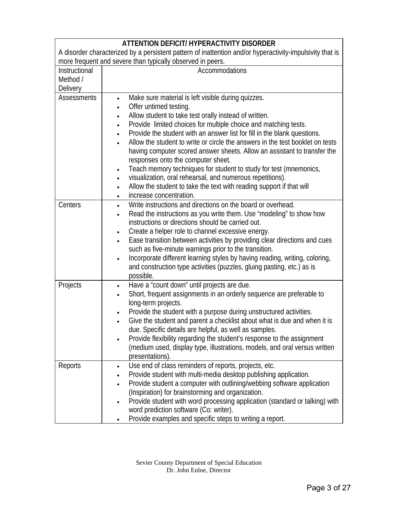| ATTENTION DEFICIT/ HYPERACTIVITY DISORDER                                                                |                                                                                          |  |
|----------------------------------------------------------------------------------------------------------|------------------------------------------------------------------------------------------|--|
| A disorder characterized by a persistent pattern of inattention and/or hyperactivity-impulsivity that is |                                                                                          |  |
| more frequent and severe than typically observed in peers.                                               |                                                                                          |  |
| Instructional                                                                                            | Accommodations                                                                           |  |
| Method /                                                                                                 |                                                                                          |  |
| <b>Delivery</b>                                                                                          |                                                                                          |  |
| <b>Assessments</b>                                                                                       | Make sure material is left visible during quizzes.<br>$\bullet$                          |  |
|                                                                                                          | Offer untimed testing.<br>$\bullet$                                                      |  |
|                                                                                                          | Allow student to take test orally instead of written.<br>$\bullet$                       |  |
|                                                                                                          | Provide limited choices for multiple choice and matching tests.<br>$\bullet$             |  |
|                                                                                                          | Provide the student with an answer list for fill in the blank questions.<br>$\bullet$    |  |
|                                                                                                          | Allow the student to write or circle the answers in the test booklet on tests            |  |
|                                                                                                          | having computer scored answer sheets. Allow an assistant to transfer the                 |  |
|                                                                                                          | responses onto the computer sheet.                                                       |  |
|                                                                                                          | Teach memory techniques for student to study for test (mnemonics,<br>$\bullet$           |  |
|                                                                                                          | visualization, oral rehearsal, and numerous repetitions).<br>$\bullet$                   |  |
|                                                                                                          | Allow the student to take the text with reading support if that will<br>$\bullet$        |  |
|                                                                                                          | increase concentration.<br>$\bullet$                                                     |  |
| Centers                                                                                                  | Write instructions and directions on the board or overhead.<br>$\bullet$                 |  |
|                                                                                                          | Read the instructions as you write them. Use "modeling" to show how<br>$\bullet$         |  |
|                                                                                                          | instructions or directions should be carried out.                                        |  |
|                                                                                                          | Create a helper role to channel excessive energy.<br>$\bullet$                           |  |
|                                                                                                          | Ease transition between activities by providing clear directions and cues<br>$\bullet$   |  |
|                                                                                                          | such as five-minute warnings prior to the transition.                                    |  |
|                                                                                                          | Incorporate different learning styles by having reading, writing, coloring,<br>$\bullet$ |  |
|                                                                                                          | and construction type activities (puzzles, gluing pasting, etc.) as is                   |  |
|                                                                                                          | possible.                                                                                |  |
| Projects                                                                                                 | Have a "count down" until projects are due.<br>$\bullet$                                 |  |
|                                                                                                          | Short, frequent assignments in an orderly sequence are preferable to<br>$\bullet$        |  |
|                                                                                                          | long-term projects.                                                                      |  |
|                                                                                                          | Provide the student with a purpose during unstructured activities.<br>$\bullet$          |  |
|                                                                                                          | Give the student and parent a checklist about what is due and when it is<br>$\bullet$    |  |
|                                                                                                          | due. Specific details are helpful, as well as samples.                                   |  |
|                                                                                                          | Provide flexibility regarding the student's response to the assignment<br>$\bullet$      |  |
|                                                                                                          | (medium used, display type, illustrations, models, and oral versus written               |  |
|                                                                                                          | presentations).                                                                          |  |
| Reports                                                                                                  | Use end of class reminders of reports, projects, etc.<br>$\bullet$                       |  |
|                                                                                                          | Provide student with multi-media desktop publishing application.                         |  |
|                                                                                                          | Provide student a computer with outlining/webbing software application<br>$\bullet$      |  |
|                                                                                                          | (Inspiration) for brainstorming and organization.                                        |  |
|                                                                                                          | Provide student with word processing application (standard or talking) with<br>$\bullet$ |  |
|                                                                                                          | word prediction software (Co: writer).                                                   |  |
|                                                                                                          | Provide examples and specific steps to writing a report.                                 |  |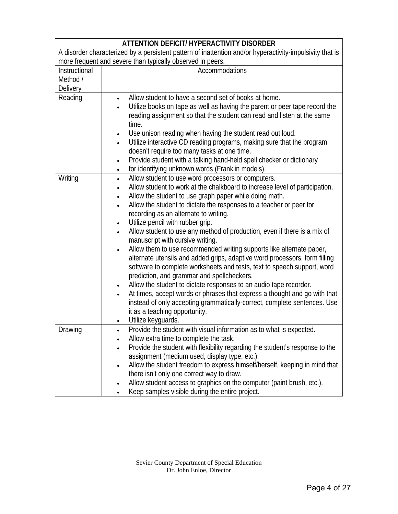| ATTENTION DEFICIT/ HYPERACTIVITY DISORDER<br>A disorder characterized by a persistent pattern of inattention and/or hyperactivity-impulsivity that is<br>more frequent and severe than typically observed in peers. |                                                                                                                                                                                                                                                                                                                                                                                                                                                                                                                                                                                                                                                                                                                                                                                                                                                                                                                                                                                                                                                                                                                   |
|---------------------------------------------------------------------------------------------------------------------------------------------------------------------------------------------------------------------|-------------------------------------------------------------------------------------------------------------------------------------------------------------------------------------------------------------------------------------------------------------------------------------------------------------------------------------------------------------------------------------------------------------------------------------------------------------------------------------------------------------------------------------------------------------------------------------------------------------------------------------------------------------------------------------------------------------------------------------------------------------------------------------------------------------------------------------------------------------------------------------------------------------------------------------------------------------------------------------------------------------------------------------------------------------------------------------------------------------------|
| Instructional<br>Method /<br>Delivery                                                                                                                                                                               | Accommodations                                                                                                                                                                                                                                                                                                                                                                                                                                                                                                                                                                                                                                                                                                                                                                                                                                                                                                                                                                                                                                                                                                    |
| Reading                                                                                                                                                                                                             | Allow student to have a second set of books at home.<br>$\bullet$<br>Utilize books on tape as well as having the parent or peer tape record the<br>reading assignment so that the student can read and listen at the same<br>time.<br>Use unison reading when having the student read out loud.<br>$\bullet$<br>Utilize interactive CD reading programs, making sure that the program<br>doesn't require too many tasks at one time.<br>Provide student with a talking hand-held spell checker or dictionary<br>$\bullet$<br>for identifying unknown words (Franklin models).<br>$\bullet$                                                                                                                                                                                                                                                                                                                                                                                                                                                                                                                        |
| Writing                                                                                                                                                                                                             | Allow student to use word processors or computers.<br>$\bullet$<br>Allow student to work at the chalkboard to increase level of participation.<br>Allow the student to use graph paper while doing math.<br>$\bullet$<br>Allow the student to dictate the responses to a teacher or peer for<br>recording as an alternate to writing.<br>Utilize pencil with rubber grip.<br>$\bullet$<br>Allow student to use any method of production, even if there is a mix of<br>manuscript with cursive writing.<br>Allow them to use recommended writing supports like alternate paper,<br>$\bullet$<br>alternate utensils and added grips, adaptive word processors, form filling<br>software to complete worksheets and tests, text to speech support, word<br>prediction, and grammar and spellcheckers.<br>Allow the student to dictate responses to an audio tape recorder.<br>$\bullet$<br>At times, accept words or phrases that express a thought and go with that<br>instead of only accepting grammatically-correct, complete sentences. Use<br>it as a teaching opportunity.<br>Utilize keyguards.<br>$\bullet$ |
| Drawing                                                                                                                                                                                                             | Provide the student with visual information as to what is expected.<br>Allow extra time to complete the task.<br>Provide the student with flexibility regarding the student's response to the<br>assignment (medium used, display type, etc.).<br>Allow the student freedom to express himself/herself, keeping in mind that<br>there isn't only one correct way to draw.<br>Allow student access to graphics on the computer (paint brush, etc.).<br>$\bullet$<br>Keep samples visible during the entire project.                                                                                                                                                                                                                                                                                                                                                                                                                                                                                                                                                                                                |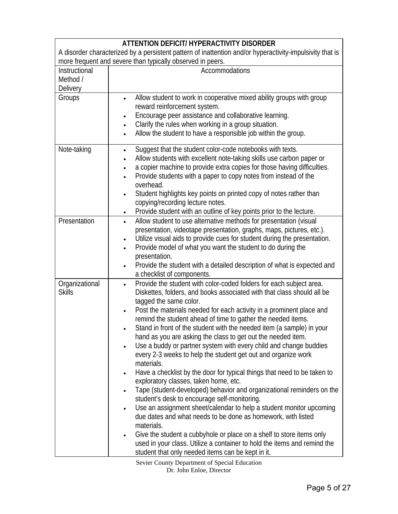| <b>ATTENTION DEFICIT/ HYPERACTIVITY DISORDER</b>                                                         |                                                                                           |  |
|----------------------------------------------------------------------------------------------------------|-------------------------------------------------------------------------------------------|--|
| A disorder characterized by a persistent pattern of inattention and/or hyperactivity-impulsivity that is |                                                                                           |  |
|                                                                                                          | more frequent and severe than typically observed in peers.                                |  |
| Instructional                                                                                            | Accommodations                                                                            |  |
| Method /                                                                                                 |                                                                                           |  |
| Delivery                                                                                                 |                                                                                           |  |
| Groups                                                                                                   | Allow student to work in cooperative mixed ability groups with group<br>$\bullet$         |  |
|                                                                                                          | reward reinforcement system.                                                              |  |
|                                                                                                          | Encourage peer assistance and collaborative learning.<br>٠                                |  |
|                                                                                                          | Clarify the rules when working in a group situation.<br>$\bullet$                         |  |
|                                                                                                          | Allow the student to have a responsible job within the group.<br>$\bullet$                |  |
| Note-taking                                                                                              | Suggest that the student color-code notebooks with texts.<br>$\bullet$                    |  |
|                                                                                                          | Allow students with excellent note-taking skills use carbon paper or                      |  |
|                                                                                                          | a copier machine to provide extra copies for those having difficulties.<br>$\bullet$      |  |
|                                                                                                          | Provide students with a paper to copy notes from instead of the                           |  |
|                                                                                                          | overhead.                                                                                 |  |
|                                                                                                          | Student highlights key points on printed copy of notes rather than<br>۰                   |  |
|                                                                                                          | copying/recording lecture notes.                                                          |  |
|                                                                                                          | Provide student with an outline of key points prior to the lecture.<br>٠                  |  |
| Presentation                                                                                             | Allow student to use alternative methods for presentation (visual                         |  |
|                                                                                                          | presentation, videotape presentation, graphs, maps, pictures, etc.).                      |  |
|                                                                                                          | Utilize visual aids to provide cues for student during the presentation.                  |  |
|                                                                                                          | Provide model of what you want the student to do during the<br>$\bullet$<br>presentation. |  |
|                                                                                                          | Provide the student with a detailed description of what is expected and                   |  |
|                                                                                                          | a checklist of components.                                                                |  |
| Organizational                                                                                           | Provide the student with color-coded folders for each subject area.<br>$\bullet$          |  |
| <b>Skills</b>                                                                                            | Diskettes, folders, and books associated with that class should all be                    |  |
|                                                                                                          | tagged the same color.                                                                    |  |
|                                                                                                          | Post the materials needed for each activity in a prominent place and<br>٠                 |  |
|                                                                                                          | remind the student ahead of time to gather the needed items.                              |  |
|                                                                                                          | Stand in front of the student with the needed item (a sample) in your                     |  |
|                                                                                                          | hand as you are asking the class to get out the needed item.                              |  |
|                                                                                                          | Use a buddy or partner system with every child and change buddies<br>٠                    |  |
|                                                                                                          | every 2-3 weeks to help the student get out and organize work                             |  |
|                                                                                                          | materials.                                                                                |  |
|                                                                                                          | Have a checklist by the door for typical things that need to be taken to<br>٠             |  |
|                                                                                                          | exploratory classes, taken home, etc.                                                     |  |
|                                                                                                          | Tape (student-developed) behavior and organizational reminders on the                     |  |
|                                                                                                          | student's desk to encourage self-monitoring.                                              |  |
|                                                                                                          | Use an assignment sheet/calendar to help a student monitor upcoming<br>٠                  |  |
|                                                                                                          | due dates and what needs to be done as homework, with listed                              |  |
|                                                                                                          | materials.                                                                                |  |
|                                                                                                          | Give the student a cubbyhole or place on a shelf to store items only<br>٠                 |  |
|                                                                                                          | used in your class. Utilize a container to hold the items and remind the                  |  |
|                                                                                                          | student that only needed items can be kept in it.                                         |  |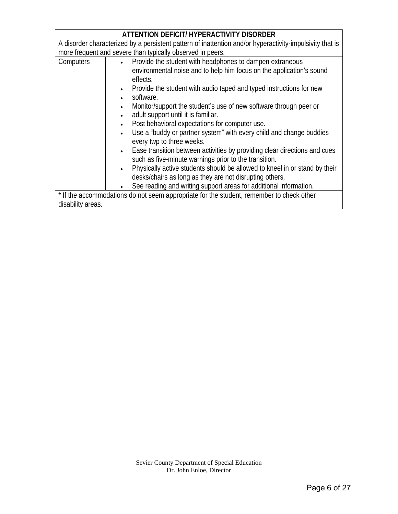|                                                                                                          | ATTENTION DEFICIT/ HYPERACTIVITY DISORDER                                                                                                                                                                                                                                                                                                                                                                                                                                                                                                                                                                                                                                                                                                                                                                                                                                                                                                           |
|----------------------------------------------------------------------------------------------------------|-----------------------------------------------------------------------------------------------------------------------------------------------------------------------------------------------------------------------------------------------------------------------------------------------------------------------------------------------------------------------------------------------------------------------------------------------------------------------------------------------------------------------------------------------------------------------------------------------------------------------------------------------------------------------------------------------------------------------------------------------------------------------------------------------------------------------------------------------------------------------------------------------------------------------------------------------------|
| A disorder characterized by a persistent pattern of inattention and/or hyperactivity-impulsivity that is |                                                                                                                                                                                                                                                                                                                                                                                                                                                                                                                                                                                                                                                                                                                                                                                                                                                                                                                                                     |
|                                                                                                          | more frequent and severe than typically observed in peers.                                                                                                                                                                                                                                                                                                                                                                                                                                                                                                                                                                                                                                                                                                                                                                                                                                                                                          |
| Computers                                                                                                | Provide the student with headphones to dampen extraneous<br>$\bullet$<br>environmental noise and to help him focus on the application's sound<br>effects.<br>Provide the student with audio taped and typed instructions for new<br>$\bullet$<br>software.<br>$\bullet$<br>Monitor/support the student's use of new software through peer or<br>$\bullet$<br>adult support until it is familiar.<br>Post behavioral expectations for computer use.<br>$\bullet$<br>Use a "buddy or partner system" with every child and change buddies<br>every twp to three weeks.<br>Ease transition between activities by providing clear directions and cues<br>$\bullet$ .<br>such as five-minute warnings prior to the transition.<br>Physically active students should be allowed to kneel in or stand by their<br>$\bullet$<br>desks/chairs as long as they are not disrupting others.<br>See reading and writing support areas for additional information. |
|                                                                                                          | * If the accommodations do not seem appropriate for the student, remember to check other                                                                                                                                                                                                                                                                                                                                                                                                                                                                                                                                                                                                                                                                                                                                                                                                                                                            |
| disability areas.                                                                                        |                                                                                                                                                                                                                                                                                                                                                                                                                                                                                                                                                                                                                                                                                                                                                                                                                                                                                                                                                     |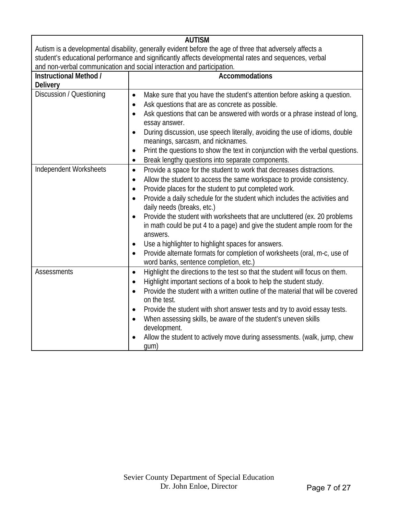|                                                                                                          | <b>AUTISM</b>                                                                                                                    |  |
|----------------------------------------------------------------------------------------------------------|----------------------------------------------------------------------------------------------------------------------------------|--|
| Autism is a developmental disability, generally evident before the age of three that adversely affects a |                                                                                                                                  |  |
| student's educational performance and significantly affects developmental rates and sequences, verbal    |                                                                                                                                  |  |
| and non-verbal communication and social interaction and participation.                                   |                                                                                                                                  |  |
| Instructional Method /                                                                                   | <b>Accommodations</b>                                                                                                            |  |
| <b>Delivery</b>                                                                                          |                                                                                                                                  |  |
| Discussion / Questioning                                                                                 | Make sure that you have the student's attention before asking a question.<br>$\bullet$                                           |  |
|                                                                                                          | Ask questions that are as concrete as possible.<br>$\bullet$                                                                     |  |
|                                                                                                          | Ask questions that can be answered with words or a phrase instead of long,<br>essay answer.                                      |  |
|                                                                                                          | During discussion, use speech literally, avoiding the use of idioms, double                                                      |  |
|                                                                                                          | meanings, sarcasm, and nicknames.                                                                                                |  |
|                                                                                                          | Print the questions to show the text in conjunction with the verbal questions.<br>$\bullet$                                      |  |
|                                                                                                          | Break lengthy questions into separate components.<br>$\bullet$                                                                   |  |
| Independent Worksheets                                                                                   | Provide a space for the student to work that decreases distractions.<br>$\bullet$                                                |  |
|                                                                                                          | Allow the student to access the same workspace to provide consistency.<br>٠                                                      |  |
|                                                                                                          | Provide places for the student to put completed work.<br>$\bullet$                                                               |  |
|                                                                                                          | Provide a daily schedule for the student which includes the activities and<br>$\bullet$                                          |  |
|                                                                                                          | daily needs (breaks, etc.)                                                                                                       |  |
|                                                                                                          | Provide the student with worksheets that are uncluttered (ex. 20 problems<br>$\bullet$                                           |  |
|                                                                                                          | in math could be put 4 to a page) and give the student ample room for the                                                        |  |
|                                                                                                          | answers.                                                                                                                         |  |
|                                                                                                          | Use a highlighter to highlight spaces for answers.<br>$\bullet$                                                                  |  |
|                                                                                                          | Provide alternate formats for completion of worksheets (oral, m-c, use of<br>$\bullet$<br>word banks, sentence completion, etc.) |  |
| <b>Assessments</b>                                                                                       | Highlight the directions to the test so that the student will focus on them.<br>$\bullet$                                        |  |
|                                                                                                          | Highlight important sections of a book to help the student study.<br>$\bullet$                                                   |  |
|                                                                                                          | Provide the student with a written outline of the material that will be covered<br>$\bullet$                                     |  |
|                                                                                                          | on the test.                                                                                                                     |  |
|                                                                                                          | Provide the student with short answer tests and try to avoid essay tests.<br>٠                                                   |  |
|                                                                                                          | When assessing skills, be aware of the student's uneven skills<br>٠                                                              |  |
|                                                                                                          | development.                                                                                                                     |  |
|                                                                                                          | Allow the student to actively move during assessments. (walk, jump, chew<br>$\bullet$                                            |  |
|                                                                                                          | gum)                                                                                                                             |  |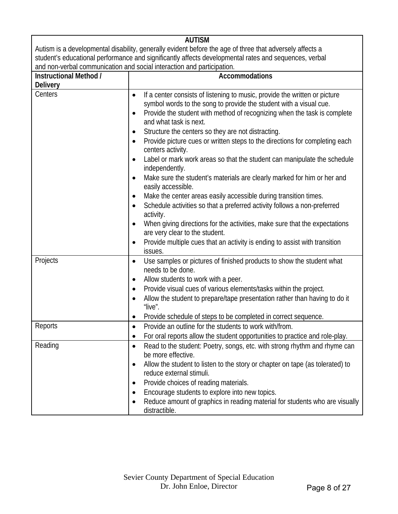|                                                                                                          | <b>AUTISM</b>                                                                                |  |
|----------------------------------------------------------------------------------------------------------|----------------------------------------------------------------------------------------------|--|
| Autism is a developmental disability, generally evident before the age of three that adversely affects a |                                                                                              |  |
| student's educational performance and significantly affects developmental rates and sequences, verbal    |                                                                                              |  |
|                                                                                                          | and non-verbal communication and social interaction and participation.                       |  |
| Instructional Method /                                                                                   | <b>Accommodations</b>                                                                        |  |
| <b>Delivery</b>                                                                                          |                                                                                              |  |
| Centers                                                                                                  | If a center consists of listening to music, provide the written or picture<br>$\bullet$      |  |
|                                                                                                          | symbol words to the song to provide the student with a visual cue.                           |  |
|                                                                                                          | Provide the student with method of recognizing when the task is complete                     |  |
|                                                                                                          | and what task is next.                                                                       |  |
|                                                                                                          | Structure the centers so they are not distracting.                                           |  |
|                                                                                                          | Provide picture cues or written steps to the directions for completing each<br>$\bullet$     |  |
|                                                                                                          | centers activity.                                                                            |  |
|                                                                                                          | Label or mark work areas so that the student can manipulate the schedule                     |  |
|                                                                                                          | independently.                                                                               |  |
|                                                                                                          | Make sure the student's materials are clearly marked for him or her and                      |  |
|                                                                                                          | easily accessible.                                                                           |  |
|                                                                                                          | Make the center areas easily accessible during transition times.<br>$\bullet$                |  |
|                                                                                                          | Schedule activities so that a preferred activity follows a non-preferred                     |  |
|                                                                                                          | activity.                                                                                    |  |
|                                                                                                          | When giving directions for the activities, make sure that the expectations<br>$\bullet$      |  |
|                                                                                                          | are very clear to the student.                                                               |  |
|                                                                                                          | Provide multiple cues that an activity is ending to assist with transition                   |  |
|                                                                                                          | issues.                                                                                      |  |
| Projects<br>٠                                                                                            | Use samples or pictures of finished products to show the student what                        |  |
|                                                                                                          | needs to be done.                                                                            |  |
|                                                                                                          | Allow students to work with a peer.                                                          |  |
|                                                                                                          | Provide visual cues of various elements/tasks within the project.                            |  |
|                                                                                                          | Allow the student to prepare/tape presentation rather than having to do it<br>$\bullet$      |  |
|                                                                                                          | "live".                                                                                      |  |
|                                                                                                          | Provide schedule of steps to be completed in correct sequence.                               |  |
| Reports                                                                                                  | Provide an outline for the students to work with/from.                                       |  |
|                                                                                                          | For oral reports allow the student opportunities to practice and role-play.<br>$\bullet$     |  |
| Reading<br>$\bullet$                                                                                     | Read to the student: Poetry, songs, etc. with strong rhythm and rhyme can                    |  |
|                                                                                                          | be more effective.                                                                           |  |
|                                                                                                          | Allow the student to listen to the story or chapter on tape (as tolerated) to<br>$\bullet$   |  |
|                                                                                                          | reduce external stimuli.                                                                     |  |
|                                                                                                          | Provide choices of reading materials.<br>$\bullet$                                           |  |
| ٠                                                                                                        | Encourage students to explore into new topics.                                               |  |
|                                                                                                          | Reduce amount of graphics in reading material for students who are visually<br>distractible. |  |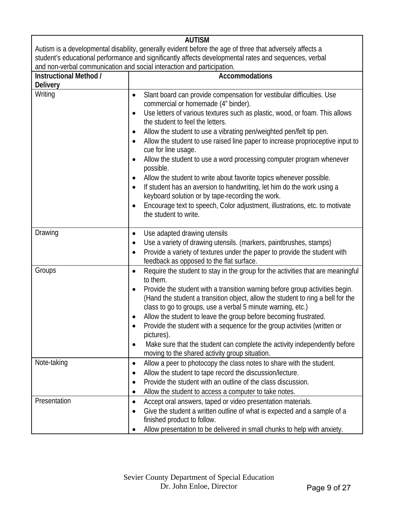|                                                                                                          | <b>AUTISM</b>                                                                                                                      |  |
|----------------------------------------------------------------------------------------------------------|------------------------------------------------------------------------------------------------------------------------------------|--|
| Autism is a developmental disability, generally evident before the age of three that adversely affects a |                                                                                                                                    |  |
| student's educational performance and significantly affects developmental rates and sequences, verbal    |                                                                                                                                    |  |
|                                                                                                          | and non-verbal communication and social interaction and participation.                                                             |  |
| Instructional Method /                                                                                   | <b>Accommodations</b>                                                                                                              |  |
| <b>Delivery</b>                                                                                          |                                                                                                                                    |  |
| Writing                                                                                                  | Slant board can provide compensation for vestibular difficulties. Use<br>$\bullet$                                                 |  |
|                                                                                                          | commercial or homemade (4" binder).                                                                                                |  |
|                                                                                                          | Use letters of various textures such as plastic, wood, or foam. This allows<br>$\bullet$                                           |  |
|                                                                                                          | the student to feel the letters.                                                                                                   |  |
|                                                                                                          | Allow the student to use a vibrating pen/weighted pen/felt tip pen.                                                                |  |
|                                                                                                          | Allow the student to use raised line paper to increase proprioceptive input to<br>٠                                                |  |
|                                                                                                          | cue for line usage.                                                                                                                |  |
|                                                                                                          | Allow the student to use a word processing computer program whenever                                                               |  |
|                                                                                                          | possible.                                                                                                                          |  |
|                                                                                                          | Allow the student to write about favorite topics whenever possible.                                                                |  |
|                                                                                                          | If student has an aversion to handwriting, let him do the work using a                                                             |  |
|                                                                                                          | keyboard solution or by tape-recording the work.                                                                                   |  |
|                                                                                                          | Encourage text to speech, Color adjustment, illustrations, etc. to motivate<br>$\bullet$                                           |  |
|                                                                                                          | the student to write.                                                                                                              |  |
|                                                                                                          |                                                                                                                                    |  |
| Drawing                                                                                                  | Use adapted drawing utensils<br>$\bullet$                                                                                          |  |
|                                                                                                          | Use a variety of drawing utensils. (markers, paintbrushes, stamps)<br>$\bullet$                                                    |  |
|                                                                                                          | Provide a variety of textures under the paper to provide the student with<br>$\bullet$<br>feedback as opposed to the flat surface. |  |
| Groups                                                                                                   |                                                                                                                                    |  |
|                                                                                                          | Require the student to stay in the group for the activities that are meaningful<br>$\bullet$<br>to them.                           |  |
|                                                                                                          | Provide the student with a transition warning before group activities begin.<br>$\bullet$                                          |  |
|                                                                                                          | (Hand the student a transition object, allow the student to ring a bell for the                                                    |  |
|                                                                                                          | class to go to groups, use a verbal 5 minute warning, etc.)                                                                        |  |
|                                                                                                          | Allow the student to leave the group before becoming frustrated.<br>$\bullet$                                                      |  |
|                                                                                                          | Provide the student with a sequence for the group activities (written or                                                           |  |
|                                                                                                          | pictures).                                                                                                                         |  |
|                                                                                                          | Make sure that the student can complete the activity independently before<br>$\bullet$                                             |  |
|                                                                                                          | moving to the shared activity group situation.                                                                                     |  |
| Note-taking                                                                                              | Allow a peer to photocopy the class notes to share with the student.<br>$\bullet$                                                  |  |
|                                                                                                          | Allow the student to tape record the discussion/lecture.<br>٠                                                                      |  |
|                                                                                                          | Provide the student with an outline of the class discussion.                                                                       |  |
|                                                                                                          | Allow the student to access a computer to take notes.                                                                              |  |
| Presentation                                                                                             | Accept oral answers, taped or video presentation materials.<br>$\bullet$                                                           |  |
|                                                                                                          | Give the student a written outline of what is expected and a sample of a                                                           |  |
|                                                                                                          | finished product to follow.                                                                                                        |  |
|                                                                                                          | Allow presentation to be delivered in small chunks to help with anxiety.<br>$\bullet$                                              |  |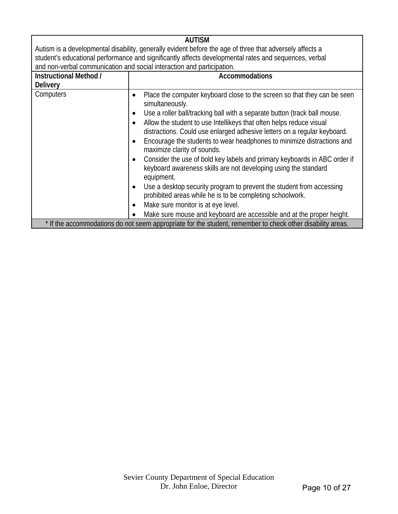|                        | <b>AUTISM</b>                                                                                                                                              |
|------------------------|------------------------------------------------------------------------------------------------------------------------------------------------------------|
|                        | Autism is a developmental disability, generally evident before the age of three that adversely affects a                                                   |
|                        | student's educational performance and significantly affects developmental rates and sequences, verbal                                                      |
|                        | and non-verbal communication and social interaction and participation.                                                                                     |
| Instructional Method / | <b>Accommodations</b>                                                                                                                                      |
| <b>Delivery</b>        |                                                                                                                                                            |
| Computers              | Place the computer keyboard close to the screen so that they can be seen<br>simultaneously.                                                                |
|                        | Use a roller ball/tracking ball with a separate button (track ball mouse.                                                                                  |
|                        | Allow the student to use Intellikeys that often helps reduce visual<br>distractions. Could use enlarged adhesive letters on a regular keyboard.            |
|                        | Encourage the students to wear headphones to minimize distractions and<br>maximize clarity of sounds.                                                      |
|                        | Consider the use of bold key labels and primary keyboards in ABC order if<br>keyboard awareness skills are not developing using the standard<br>equipment. |
|                        | Use a desktop security program to prevent the student from accessing<br>prohibited areas while he is to be completing schoolwork.                          |
|                        | Make sure monitor is at eye level.                                                                                                                         |
|                        | Make sure mouse and keyboard are accessible and at the proper height.                                                                                      |
|                        | * If the accommodations do not seem appropriate for the student, remember to check other disability areas.                                                 |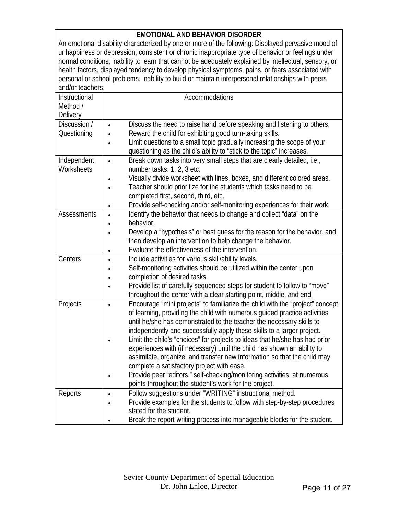#### **EMOTIONAL AND BEHAVIOR DISORDER**

An emotional disability characterized by one or more of the following: Displayed pervasive mood of unhappiness or depression, consistent or chronic inappropriate type of behavior or feelings under normal conditions, inability to learn that cannot be adequately explained by intellectual, sensory, or health factors, displayed tendency to develop physical symptoms, pains, or fears associated with personal or school problems, inability to build or maintain interpersonal relationships with peers and/or teachers.

| Instructional      | Accommodations                                                                                                                                                |
|--------------------|---------------------------------------------------------------------------------------------------------------------------------------------------------------|
| Method /           |                                                                                                                                                               |
| Delivery           |                                                                                                                                                               |
| Discussion /       | Discuss the need to raise hand before speaking and listening to others.<br>$\bullet$                                                                          |
| Questioning        | Reward the child for exhibiting good turn-taking skills.<br>$\bullet$                                                                                         |
|                    | Limit questions to a small topic gradually increasing the scope of your<br>$\bullet$<br>questioning as the child's ability to "stick to the topic" increases. |
| Independent        | Break down tasks into very small steps that are clearly detailed, i.e.,<br>$\bullet$                                                                          |
| Worksheets         | number tasks: 1, 2, 3 etc.                                                                                                                                    |
|                    | Visually divide worksheet with lines, boxes, and different colored areas.                                                                                     |
|                    | Teacher should prioritize for the students which tasks need to be<br>$\bullet$                                                                                |
|                    | completed first, second, third, etc.                                                                                                                          |
|                    | Provide self-checking and/or self-monitoring experiences for their work.<br>$\bullet$                                                                         |
| <b>Assessments</b> | Identify the behavior that needs to change and collect "data" on the<br>$\bullet$                                                                             |
|                    | behavior.                                                                                                                                                     |
|                    | Develop a "hypothesis" or best guess for the reason for the behavior, and                                                                                     |
|                    | then develop an intervention to help change the behavior.                                                                                                     |
|                    | Evaluate the effectiveness of the intervention.<br>$\bullet$                                                                                                  |
| Centers            | Include activities for various skill/ability levels.<br>$\bullet$                                                                                             |
|                    | Self-monitoring activities should be utilized within the center upon<br>$\bullet$                                                                             |
|                    | completion of desired tasks.<br>$\bullet$                                                                                                                     |
|                    | Provide list of carefully sequenced steps for student to follow to "move"<br>$\bullet$<br>throughout the center with a clear starting point, middle, and end. |
| Projects           | Encourage "mini projects" to familiarize the child with the "project" concept<br>$\bullet$                                                                    |
|                    | of learning, providing the child with numerous guided practice activities                                                                                     |
|                    | until he/she has demonstrated to the teacher the necessary skills to                                                                                          |
|                    | independently and successfully apply these skills to a larger project.                                                                                        |
|                    | Limit the child's "choices" for projects to ideas that he/she has had prior                                                                                   |
|                    | experiences with (if necessary) until the child has shown an ability to                                                                                       |
|                    | assimilate, organize, and transfer new information so that the child may                                                                                      |
|                    | complete a satisfactory project with ease.                                                                                                                    |
|                    | Provide peer "editors," self-checking/monitoring activities, at numerous<br>$\bullet$                                                                         |
|                    | points throughout the student's work for the project.                                                                                                         |
| Reports            | Follow suggestions under "WRITING" instructional method.                                                                                                      |
|                    | Provide examples for the students to follow with step-by-step procedures                                                                                      |
|                    | stated for the student.                                                                                                                                       |
|                    | Break the report-writing process into manageable blocks for the student.                                                                                      |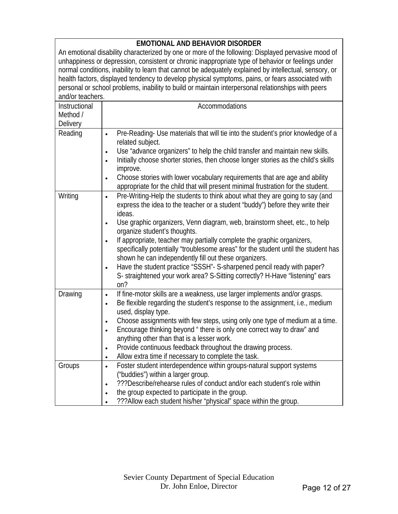| <b>EMOTIONAL AND BEHAVIOR DISORDER</b>                                                                 |                                                                                                    |  |
|--------------------------------------------------------------------------------------------------------|----------------------------------------------------------------------------------------------------|--|
|                                                                                                        | An emotional disability characterized by one or more of the following: Displayed pervasive mood of |  |
| unhappiness or depression, consistent or chronic inappropriate type of behavior or feelings under      |                                                                                                    |  |
| normal conditions, inability to learn that cannot be adequately explained by intellectual, sensory, or |                                                                                                    |  |
| health factors, displayed tendency to develop physical symptoms, pains, or fears associated with       |                                                                                                    |  |
| personal or school problems, inability to build or maintain interpersonal relationships with peers     |                                                                                                    |  |
| and/or teachers.                                                                                       |                                                                                                    |  |
| Instructional                                                                                          | Accommodations                                                                                     |  |
| Method /                                                                                               |                                                                                                    |  |
|                                                                                                        |                                                                                                    |  |
| Delivery                                                                                               |                                                                                                    |  |
| Reading                                                                                                | Pre-Reading- Use materials that will tie into the student's prior knowledge of a<br>$\bullet$      |  |
|                                                                                                        | related subject.                                                                                   |  |
|                                                                                                        | Use "advance organizers" to help the child transfer and maintain new skills.<br>$\bullet$          |  |
|                                                                                                        | Initially choose shorter stories, then choose longer stories as the child's skills<br>$\bullet$    |  |
|                                                                                                        | improve.                                                                                           |  |
|                                                                                                        | Choose stories with lower vocabulary requirements that are age and ability<br>$\bullet$            |  |
|                                                                                                        | appropriate for the child that will present minimal frustration for the student.                   |  |
| Writing                                                                                                | Pre-Writing-Help the students to think about what they are going to say (and<br>$\bullet$          |  |
|                                                                                                        | express the idea to the teacher or a student "buddy") before they write their                      |  |
|                                                                                                        | ideas.                                                                                             |  |
|                                                                                                        | Use graphic organizers, Venn diagram, web, brainstorm sheet, etc., to help<br>$\bullet$            |  |
|                                                                                                        | organize student's thoughts.                                                                       |  |
|                                                                                                        | If appropriate, teacher may partially complete the graphic organizers,<br>$\bullet$                |  |
|                                                                                                        | specifically potentially "troublesome areas" for the student until the student has                 |  |
|                                                                                                        | shown he can independently fill out these organizers.                                              |  |
|                                                                                                        | Have the student practice "SSSH"- S-sharpened pencil ready with paper?<br>$\bullet$                |  |
|                                                                                                        | S- straightened your work area? S-Sitting correctly? H-Have "listening" ears                       |  |
|                                                                                                        | on?                                                                                                |  |
|                                                                                                        | If fine-motor skills are a weakness, use larger implements and/or grasps.                          |  |
| Drawing                                                                                                | $\bullet$                                                                                          |  |
|                                                                                                        | Be flexible regarding the student's response to the assignment, i.e., medium<br>$\bullet$          |  |
|                                                                                                        | used, display type.                                                                                |  |
|                                                                                                        | Choose assignments with few steps, using only one type of medium at a time.<br>$\bullet$           |  |
|                                                                                                        | Encourage thinking beyond " there is only one correct way to draw" and                             |  |
|                                                                                                        | anything other than that is a lesser work.                                                         |  |
|                                                                                                        | Provide continuous feedback throughout the drawing process.<br>$\bullet$                           |  |
|                                                                                                        | Allow extra time if necessary to complete the task.<br>$\bullet$                                   |  |
| Groups                                                                                                 | Foster student interdependence within groups-natural support systems<br>$\bullet$                  |  |
|                                                                                                        | ("buddies") within a larger group.                                                                 |  |
|                                                                                                        | ???Describe/rehearse rules of conduct and/or each student's role within<br>$\bullet$               |  |
|                                                                                                        | the group expected to participate in the group.                                                    |  |
|                                                                                                        | ??? Allow each student his/her "physical" space within the group.                                  |  |

 $\overline{\phantom{a}}$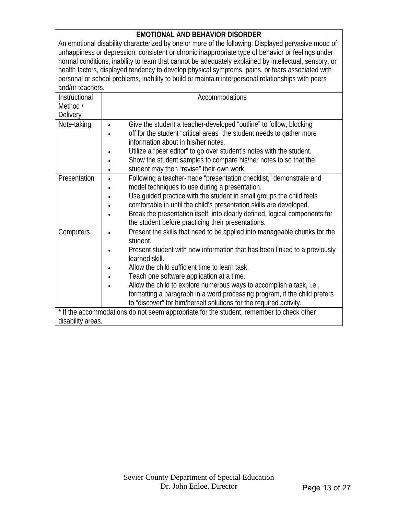#### **EMOTIONAL AND BEHAVIOR DISORDER**

An emotional disability characterized by one or more of the following: Displayed pervasive mood of unhappiness or depression, consistent or chronic inappropriate type of behavior or feelings under normal conditions, inability to learn that cannot be adequately explained by intellectual, sensory, or health factors, displayed tendency to develop physical symptoms, pains, or fears associated with personal or school problems, inability to build or maintain interpersonal relationships with peers and/or teachers.

| Instructional     | Accommodations                                                                                               |
|-------------------|--------------------------------------------------------------------------------------------------------------|
| Method /          |                                                                                                              |
| <b>Delivery</b>   |                                                                                                              |
| Note-taking       | Give the student a teacher-developed "outline" to follow, blocking                                           |
|                   | off for the student "critical areas" the student needs to gather more<br>information about in his/her notes. |
|                   | Utilize a "peer editor" to go over student's notes with the student.<br>$\bullet$                            |
|                   | Show the student samples to compare his/her notes to so that the                                             |
|                   | student may then "revise" their own work.                                                                    |
| Presentation      | Following a teacher-made "presentation checklist," demonstrate and                                           |
|                   | model techniques to use during a presentation.                                                               |
|                   | Use guided practice with the student in small groups the child feels                                         |
|                   | comfortable in until the child's presentation skills are developed.                                          |
|                   | Break the presentation itself, into clearly defined, logical components for                                  |
|                   | the student before practicing their presentations.                                                           |
| Computers         | Present the skills that need to be applied into manageable chunks for the<br>student.                        |
|                   | Present student with new information that has been linked to a previously<br>learned skill.                  |
|                   | Allow the child sufficient time to learn task.                                                               |
|                   | Teach one software application at a time.                                                                    |
|                   | Allow the child to explore numerous ways to accomplish a task, i.e.,                                         |
|                   | formatting a paragraph in a word processing program, if the child prefers                                    |
|                   | to "discover" for him/herself solutions for the required activity.                                           |
|                   | * If the accommodations do not seem appropriate for the student, remember to check other                     |
| disability areas. |                                                                                                              |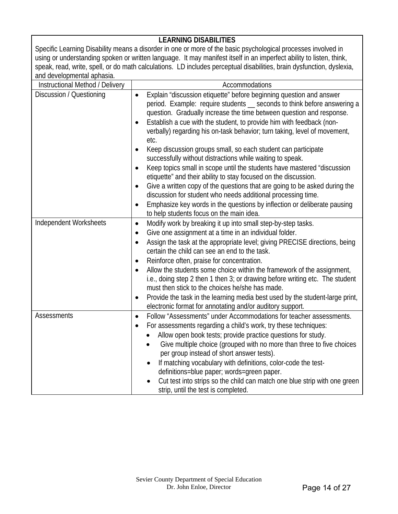### **LEARNING DISABILITIES**

Specific Learning Disability means a disorder in one or more of the basic psychological processes involved in using or understanding spoken or written language. It may manifest itself in an imperfect ability to listen, think, speak, read, write, spell, or do math calculations. LD includes perceptual disabilities, brain dysfunction, dyslexia, and developmental aphasia.

| Instructional Method / Delivery | Accommodations                                                                                                                                                                                                                                                                                                                                                                                                                                                                                                                                                                                                                                                                                                                                                                                                                                                                                                                                                  |
|---------------------------------|-----------------------------------------------------------------------------------------------------------------------------------------------------------------------------------------------------------------------------------------------------------------------------------------------------------------------------------------------------------------------------------------------------------------------------------------------------------------------------------------------------------------------------------------------------------------------------------------------------------------------------------------------------------------------------------------------------------------------------------------------------------------------------------------------------------------------------------------------------------------------------------------------------------------------------------------------------------------|
| Discussion / Questioning        | Explain "discussion etiquette" before beginning question and answer<br>$\bullet$<br>period. Example: require students _ seconds to think before answering a<br>question. Gradually increase the time between question and response.<br>Establish a cue with the student, to provide him with feedback (non-<br>verbally) regarding his on-task behavior; turn taking, level of movement,<br>etc.<br>Keep discussion groups small, so each student can participate<br>successfully without distractions while waiting to speak.<br>Keep topics small in scope until the students have mastered "discussion<br>etiquette" and their ability to stay focused on the discussion.<br>Give a written copy of the questions that are going to be asked during the<br>$\bullet$<br>discussion for student who needs additional processing time.<br>Emphasize key words in the questions by inflection or deliberate pausing<br>to help students focus on the main idea. |
| Independent Worksheets          | Modify work by breaking it up into small step-by-step tasks.<br>$\bullet$<br>Give one assignment at a time in an individual folder.<br>$\bullet$<br>Assign the task at the appropriate level; giving PRECISE directions, being<br>$\bullet$<br>certain the child can see an end to the task.<br>Reinforce often, praise for concentration.<br>$\bullet$<br>Allow the students some choice within the framework of the assignment,<br>$\bullet$<br>i.e., doing step 2 then 1 then 3; or drawing before writing etc. The student<br>must then stick to the choices he/she has made.<br>Provide the task in the learning media best used by the student-large print,<br>٠<br>electronic format for annotating and/or auditory support.                                                                                                                                                                                                                             |
| Assessments                     | Follow "Assessments" under Accommodations for teacher assessments.<br>$\bullet$<br>For assessments regarding a child's work, try these techniques:<br>$\bullet$<br>Allow open book tests; provide practice questions for study.<br>Give multiple choice (grouped with no more than three to five choices<br>per group instead of short answer tests).<br>If matching vocabulary with definitions, color-code the test-<br>$\bullet$<br>definitions=blue paper; words=green paper.<br>Cut test into strips so the child can match one blue strip with one green<br>strip, until the test is completed.                                                                                                                                                                                                                                                                                                                                                           |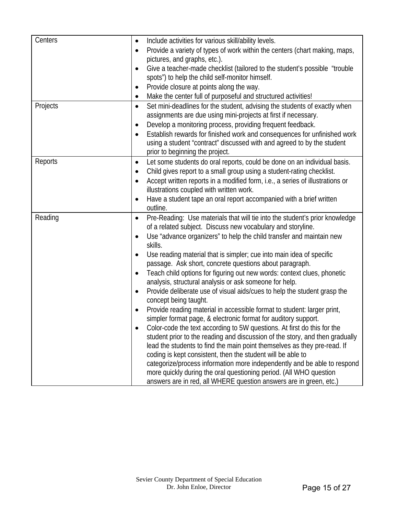| Centers<br>Include activities for various skill/ability levels.<br>$\bullet$<br>Provide a variety of types of work within the centers (chart making, maps,<br>$\bullet$<br>pictures, and graphs, etc.).<br>Give a teacher-made checklist (tailored to the student's possible "trouble"<br>$\bullet$<br>spots") to help the child self-monitor himself.<br>Provide closure at points along the way.<br>$\bullet$<br>Make the center full of purposeful and structured activities!<br>٠<br>Projects<br>Set mini-deadlines for the student, advising the students of exactly when<br>$\bullet$<br>assignments are due using mini-projects at first if necessary.<br>Develop a monitoring process, providing frequent feedback.<br>$\bullet$<br>Establish rewards for finished work and consequences for unfinished work<br>$\bullet$<br>using a student "contract" discussed with and agreed to by the student<br>prior to beginning the project.<br>Reports<br>Let some students do oral reports, could be done on an individual basis.<br>$\bullet$<br>Child gives report to a small group using a student-rating checklist.<br>$\bullet$<br>Accept written reports in a modified form, i.e., a series of illustrations or<br>$\bullet$<br>illustrations coupled with written work.<br>Have a student tape an oral report accompanied with a brief written<br>$\bullet$<br>outline.<br>Reading<br>Pre-Reading: Use materials that will tie into the student's prior knowledge<br>$\bullet$<br>of a related subject. Discuss new vocabulary and storyline.<br>Use "advance organizers" to help the child transfer and maintain new<br>skills.<br>Use reading material that is simpler; cue into main idea of specific<br>$\bullet$<br>passage. Ask short, concrete questions about paragraph.<br>Teach child options for figuring out new words: context clues, phonetic<br>$\bullet$<br>analysis, structural analysis or ask someone for help.<br>Provide deliberate use of visual aids/cues to help the student grasp the<br>٠<br>concept being taught.<br>Provide reading material in accessible format to student: larger print,<br>simpler format page, & electronic format for auditory support.<br>Color-code the text according to 5W questions. At first do this for the<br>student prior to the reading and discussion of the story, and then gradually<br>lead the students to find the main point themselves as they pre-read. If<br>coding is kept consistent, then the student will be able to<br>categorize/process information more independently and be able to respond<br>more quickly during the oral questioning period. (All WHO question |                                                                    |
|--------------------------------------------------------------------------------------------------------------------------------------------------------------------------------------------------------------------------------------------------------------------------------------------------------------------------------------------------------------------------------------------------------------------------------------------------------------------------------------------------------------------------------------------------------------------------------------------------------------------------------------------------------------------------------------------------------------------------------------------------------------------------------------------------------------------------------------------------------------------------------------------------------------------------------------------------------------------------------------------------------------------------------------------------------------------------------------------------------------------------------------------------------------------------------------------------------------------------------------------------------------------------------------------------------------------------------------------------------------------------------------------------------------------------------------------------------------------------------------------------------------------------------------------------------------------------------------------------------------------------------------------------------------------------------------------------------------------------------------------------------------------------------------------------------------------------------------------------------------------------------------------------------------------------------------------------------------------------------------------------------------------------------------------------------------------------------------------------------------------------------------------------------------------------------------------------------------------------------------------------------------------------------------------------------------------------------------------------------------------------------------------------------------------------------------------------------------------------------------------------------------------------------------------------------------------------------------------------------------------------------------------------------------|--------------------------------------------------------------------|
|                                                                                                                                                                                                                                                                                                                                                                                                                                                                                                                                                                                                                                                                                                                                                                                                                                                                                                                                                                                                                                                                                                                                                                                                                                                                                                                                                                                                                                                                                                                                                                                                                                                                                                                                                                                                                                                                                                                                                                                                                                                                                                                                                                                                                                                                                                                                                                                                                                                                                                                                                                                                                                                              |                                                                    |
|                                                                                                                                                                                                                                                                                                                                                                                                                                                                                                                                                                                                                                                                                                                                                                                                                                                                                                                                                                                                                                                                                                                                                                                                                                                                                                                                                                                                                                                                                                                                                                                                                                                                                                                                                                                                                                                                                                                                                                                                                                                                                                                                                                                                                                                                                                                                                                                                                                                                                                                                                                                                                                                              |                                                                    |
|                                                                                                                                                                                                                                                                                                                                                                                                                                                                                                                                                                                                                                                                                                                                                                                                                                                                                                                                                                                                                                                                                                                                                                                                                                                                                                                                                                                                                                                                                                                                                                                                                                                                                                                                                                                                                                                                                                                                                                                                                                                                                                                                                                                                                                                                                                                                                                                                                                                                                                                                                                                                                                                              |                                                                    |
|                                                                                                                                                                                                                                                                                                                                                                                                                                                                                                                                                                                                                                                                                                                                                                                                                                                                                                                                                                                                                                                                                                                                                                                                                                                                                                                                                                                                                                                                                                                                                                                                                                                                                                                                                                                                                                                                                                                                                                                                                                                                                                                                                                                                                                                                                                                                                                                                                                                                                                                                                                                                                                                              |                                                                    |
|                                                                                                                                                                                                                                                                                                                                                                                                                                                                                                                                                                                                                                                                                                                                                                                                                                                                                                                                                                                                                                                                                                                                                                                                                                                                                                                                                                                                                                                                                                                                                                                                                                                                                                                                                                                                                                                                                                                                                                                                                                                                                                                                                                                                                                                                                                                                                                                                                                                                                                                                                                                                                                                              |                                                                    |
|                                                                                                                                                                                                                                                                                                                                                                                                                                                                                                                                                                                                                                                                                                                                                                                                                                                                                                                                                                                                                                                                                                                                                                                                                                                                                                                                                                                                                                                                                                                                                                                                                                                                                                                                                                                                                                                                                                                                                                                                                                                                                                                                                                                                                                                                                                                                                                                                                                                                                                                                                                                                                                                              |                                                                    |
|                                                                                                                                                                                                                                                                                                                                                                                                                                                                                                                                                                                                                                                                                                                                                                                                                                                                                                                                                                                                                                                                                                                                                                                                                                                                                                                                                                                                                                                                                                                                                                                                                                                                                                                                                                                                                                                                                                                                                                                                                                                                                                                                                                                                                                                                                                                                                                                                                                                                                                                                                                                                                                                              |                                                                    |
|                                                                                                                                                                                                                                                                                                                                                                                                                                                                                                                                                                                                                                                                                                                                                                                                                                                                                                                                                                                                                                                                                                                                                                                                                                                                                                                                                                                                                                                                                                                                                                                                                                                                                                                                                                                                                                                                                                                                                                                                                                                                                                                                                                                                                                                                                                                                                                                                                                                                                                                                                                                                                                                              |                                                                    |
|                                                                                                                                                                                                                                                                                                                                                                                                                                                                                                                                                                                                                                                                                                                                                                                                                                                                                                                                                                                                                                                                                                                                                                                                                                                                                                                                                                                                                                                                                                                                                                                                                                                                                                                                                                                                                                                                                                                                                                                                                                                                                                                                                                                                                                                                                                                                                                                                                                                                                                                                                                                                                                                              |                                                                    |
|                                                                                                                                                                                                                                                                                                                                                                                                                                                                                                                                                                                                                                                                                                                                                                                                                                                                                                                                                                                                                                                                                                                                                                                                                                                                                                                                                                                                                                                                                                                                                                                                                                                                                                                                                                                                                                                                                                                                                                                                                                                                                                                                                                                                                                                                                                                                                                                                                                                                                                                                                                                                                                                              |                                                                    |
|                                                                                                                                                                                                                                                                                                                                                                                                                                                                                                                                                                                                                                                                                                                                                                                                                                                                                                                                                                                                                                                                                                                                                                                                                                                                                                                                                                                                                                                                                                                                                                                                                                                                                                                                                                                                                                                                                                                                                                                                                                                                                                                                                                                                                                                                                                                                                                                                                                                                                                                                                                                                                                                              |                                                                    |
|                                                                                                                                                                                                                                                                                                                                                                                                                                                                                                                                                                                                                                                                                                                                                                                                                                                                                                                                                                                                                                                                                                                                                                                                                                                                                                                                                                                                                                                                                                                                                                                                                                                                                                                                                                                                                                                                                                                                                                                                                                                                                                                                                                                                                                                                                                                                                                                                                                                                                                                                                                                                                                                              |                                                                    |
|                                                                                                                                                                                                                                                                                                                                                                                                                                                                                                                                                                                                                                                                                                                                                                                                                                                                                                                                                                                                                                                                                                                                                                                                                                                                                                                                                                                                                                                                                                                                                                                                                                                                                                                                                                                                                                                                                                                                                                                                                                                                                                                                                                                                                                                                                                                                                                                                                                                                                                                                                                                                                                                              |                                                                    |
|                                                                                                                                                                                                                                                                                                                                                                                                                                                                                                                                                                                                                                                                                                                                                                                                                                                                                                                                                                                                                                                                                                                                                                                                                                                                                                                                                                                                                                                                                                                                                                                                                                                                                                                                                                                                                                                                                                                                                                                                                                                                                                                                                                                                                                                                                                                                                                                                                                                                                                                                                                                                                                                              |                                                                    |
|                                                                                                                                                                                                                                                                                                                                                                                                                                                                                                                                                                                                                                                                                                                                                                                                                                                                                                                                                                                                                                                                                                                                                                                                                                                                                                                                                                                                                                                                                                                                                                                                                                                                                                                                                                                                                                                                                                                                                                                                                                                                                                                                                                                                                                                                                                                                                                                                                                                                                                                                                                                                                                                              |                                                                    |
|                                                                                                                                                                                                                                                                                                                                                                                                                                                                                                                                                                                                                                                                                                                                                                                                                                                                                                                                                                                                                                                                                                                                                                                                                                                                                                                                                                                                                                                                                                                                                                                                                                                                                                                                                                                                                                                                                                                                                                                                                                                                                                                                                                                                                                                                                                                                                                                                                                                                                                                                                                                                                                                              |                                                                    |
|                                                                                                                                                                                                                                                                                                                                                                                                                                                                                                                                                                                                                                                                                                                                                                                                                                                                                                                                                                                                                                                                                                                                                                                                                                                                                                                                                                                                                                                                                                                                                                                                                                                                                                                                                                                                                                                                                                                                                                                                                                                                                                                                                                                                                                                                                                                                                                                                                                                                                                                                                                                                                                                              |                                                                    |
|                                                                                                                                                                                                                                                                                                                                                                                                                                                                                                                                                                                                                                                                                                                                                                                                                                                                                                                                                                                                                                                                                                                                                                                                                                                                                                                                                                                                                                                                                                                                                                                                                                                                                                                                                                                                                                                                                                                                                                                                                                                                                                                                                                                                                                                                                                                                                                                                                                                                                                                                                                                                                                                              |                                                                    |
|                                                                                                                                                                                                                                                                                                                                                                                                                                                                                                                                                                                                                                                                                                                                                                                                                                                                                                                                                                                                                                                                                                                                                                                                                                                                                                                                                                                                                                                                                                                                                                                                                                                                                                                                                                                                                                                                                                                                                                                                                                                                                                                                                                                                                                                                                                                                                                                                                                                                                                                                                                                                                                                              |                                                                    |
|                                                                                                                                                                                                                                                                                                                                                                                                                                                                                                                                                                                                                                                                                                                                                                                                                                                                                                                                                                                                                                                                                                                                                                                                                                                                                                                                                                                                                                                                                                                                                                                                                                                                                                                                                                                                                                                                                                                                                                                                                                                                                                                                                                                                                                                                                                                                                                                                                                                                                                                                                                                                                                                              |                                                                    |
|                                                                                                                                                                                                                                                                                                                                                                                                                                                                                                                                                                                                                                                                                                                                                                                                                                                                                                                                                                                                                                                                                                                                                                                                                                                                                                                                                                                                                                                                                                                                                                                                                                                                                                                                                                                                                                                                                                                                                                                                                                                                                                                                                                                                                                                                                                                                                                                                                                                                                                                                                                                                                                                              |                                                                    |
|                                                                                                                                                                                                                                                                                                                                                                                                                                                                                                                                                                                                                                                                                                                                                                                                                                                                                                                                                                                                                                                                                                                                                                                                                                                                                                                                                                                                                                                                                                                                                                                                                                                                                                                                                                                                                                                                                                                                                                                                                                                                                                                                                                                                                                                                                                                                                                                                                                                                                                                                                                                                                                                              |                                                                    |
|                                                                                                                                                                                                                                                                                                                                                                                                                                                                                                                                                                                                                                                                                                                                                                                                                                                                                                                                                                                                                                                                                                                                                                                                                                                                                                                                                                                                                                                                                                                                                                                                                                                                                                                                                                                                                                                                                                                                                                                                                                                                                                                                                                                                                                                                                                                                                                                                                                                                                                                                                                                                                                                              |                                                                    |
|                                                                                                                                                                                                                                                                                                                                                                                                                                                                                                                                                                                                                                                                                                                                                                                                                                                                                                                                                                                                                                                                                                                                                                                                                                                                                                                                                                                                                                                                                                                                                                                                                                                                                                                                                                                                                                                                                                                                                                                                                                                                                                                                                                                                                                                                                                                                                                                                                                                                                                                                                                                                                                                              |                                                                    |
|                                                                                                                                                                                                                                                                                                                                                                                                                                                                                                                                                                                                                                                                                                                                                                                                                                                                                                                                                                                                                                                                                                                                                                                                                                                                                                                                                                                                                                                                                                                                                                                                                                                                                                                                                                                                                                                                                                                                                                                                                                                                                                                                                                                                                                                                                                                                                                                                                                                                                                                                                                                                                                                              |                                                                    |
|                                                                                                                                                                                                                                                                                                                                                                                                                                                                                                                                                                                                                                                                                                                                                                                                                                                                                                                                                                                                                                                                                                                                                                                                                                                                                                                                                                                                                                                                                                                                                                                                                                                                                                                                                                                                                                                                                                                                                                                                                                                                                                                                                                                                                                                                                                                                                                                                                                                                                                                                                                                                                                                              |                                                                    |
|                                                                                                                                                                                                                                                                                                                                                                                                                                                                                                                                                                                                                                                                                                                                                                                                                                                                                                                                                                                                                                                                                                                                                                                                                                                                                                                                                                                                                                                                                                                                                                                                                                                                                                                                                                                                                                                                                                                                                                                                                                                                                                                                                                                                                                                                                                                                                                                                                                                                                                                                                                                                                                                              |                                                                    |
|                                                                                                                                                                                                                                                                                                                                                                                                                                                                                                                                                                                                                                                                                                                                                                                                                                                                                                                                                                                                                                                                                                                                                                                                                                                                                                                                                                                                                                                                                                                                                                                                                                                                                                                                                                                                                                                                                                                                                                                                                                                                                                                                                                                                                                                                                                                                                                                                                                                                                                                                                                                                                                                              |                                                                    |
|                                                                                                                                                                                                                                                                                                                                                                                                                                                                                                                                                                                                                                                                                                                                                                                                                                                                                                                                                                                                                                                                                                                                                                                                                                                                                                                                                                                                                                                                                                                                                                                                                                                                                                                                                                                                                                                                                                                                                                                                                                                                                                                                                                                                                                                                                                                                                                                                                                                                                                                                                                                                                                                              |                                                                    |
|                                                                                                                                                                                                                                                                                                                                                                                                                                                                                                                                                                                                                                                                                                                                                                                                                                                                                                                                                                                                                                                                                                                                                                                                                                                                                                                                                                                                                                                                                                                                                                                                                                                                                                                                                                                                                                                                                                                                                                                                                                                                                                                                                                                                                                                                                                                                                                                                                                                                                                                                                                                                                                                              |                                                                    |
|                                                                                                                                                                                                                                                                                                                                                                                                                                                                                                                                                                                                                                                                                                                                                                                                                                                                                                                                                                                                                                                                                                                                                                                                                                                                                                                                                                                                                                                                                                                                                                                                                                                                                                                                                                                                                                                                                                                                                                                                                                                                                                                                                                                                                                                                                                                                                                                                                                                                                                                                                                                                                                                              |                                                                    |
|                                                                                                                                                                                                                                                                                                                                                                                                                                                                                                                                                                                                                                                                                                                                                                                                                                                                                                                                                                                                                                                                                                                                                                                                                                                                                                                                                                                                                                                                                                                                                                                                                                                                                                                                                                                                                                                                                                                                                                                                                                                                                                                                                                                                                                                                                                                                                                                                                                                                                                                                                                                                                                                              |                                                                    |
|                                                                                                                                                                                                                                                                                                                                                                                                                                                                                                                                                                                                                                                                                                                                                                                                                                                                                                                                                                                                                                                                                                                                                                                                                                                                                                                                                                                                                                                                                                                                                                                                                                                                                                                                                                                                                                                                                                                                                                                                                                                                                                                                                                                                                                                                                                                                                                                                                                                                                                                                                                                                                                                              |                                                                    |
|                                                                                                                                                                                                                                                                                                                                                                                                                                                                                                                                                                                                                                                                                                                                                                                                                                                                                                                                                                                                                                                                                                                                                                                                                                                                                                                                                                                                                                                                                                                                                                                                                                                                                                                                                                                                                                                                                                                                                                                                                                                                                                                                                                                                                                                                                                                                                                                                                                                                                                                                                                                                                                                              |                                                                    |
|                                                                                                                                                                                                                                                                                                                                                                                                                                                                                                                                                                                                                                                                                                                                                                                                                                                                                                                                                                                                                                                                                                                                                                                                                                                                                                                                                                                                                                                                                                                                                                                                                                                                                                                                                                                                                                                                                                                                                                                                                                                                                                                                                                                                                                                                                                                                                                                                                                                                                                                                                                                                                                                              |                                                                    |
|                                                                                                                                                                                                                                                                                                                                                                                                                                                                                                                                                                                                                                                                                                                                                                                                                                                                                                                                                                                                                                                                                                                                                                                                                                                                                                                                                                                                                                                                                                                                                                                                                                                                                                                                                                                                                                                                                                                                                                                                                                                                                                                                                                                                                                                                                                                                                                                                                                                                                                                                                                                                                                                              |                                                                    |
|                                                                                                                                                                                                                                                                                                                                                                                                                                                                                                                                                                                                                                                                                                                                                                                                                                                                                                                                                                                                                                                                                                                                                                                                                                                                                                                                                                                                                                                                                                                                                                                                                                                                                                                                                                                                                                                                                                                                                                                                                                                                                                                                                                                                                                                                                                                                                                                                                                                                                                                                                                                                                                                              | answers are in red, all WHERE question answers are in green, etc.) |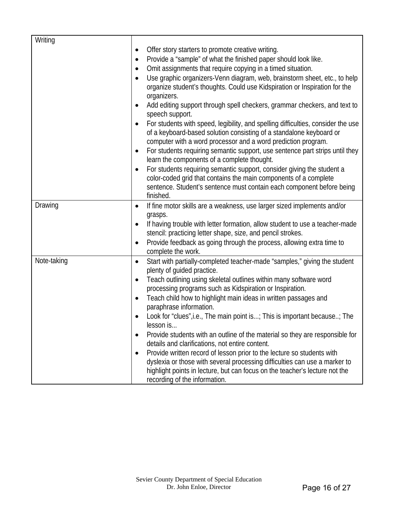| Writing     |                                                                                                                                                                                                                          |
|-------------|--------------------------------------------------------------------------------------------------------------------------------------------------------------------------------------------------------------------------|
|             | Offer story starters to promote creative writing.<br>$\bullet$                                                                                                                                                           |
|             | Provide a "sample" of what the finished paper should look like.<br>$\bullet$                                                                                                                                             |
|             | Omit assignments that require copying in a timed situation.                                                                                                                                                              |
|             |                                                                                                                                                                                                                          |
|             | Use graphic organizers-Venn diagram, web, brainstorm sheet, etc., to help<br>$\bullet$<br>organize student's thoughts. Could use Kidspiration or Inspiration for the<br>organizers.                                      |
|             | Add editing support through spell checkers, grammar checkers, and text to<br>speech support.                                                                                                                             |
|             | For students with speed, legibility, and spelling difficulties, consider the use<br>of a keyboard-based solution consisting of a standalone keyboard or<br>computer with a word processor and a word prediction program. |
|             | For students requiring semantic support, use sentence part strips until they<br>$\bullet$<br>learn the components of a complete thought.                                                                                 |
|             | For students requiring semantic support, consider giving the student a<br>$\bullet$<br>color-coded grid that contains the main components of a complete                                                                  |
|             | sentence. Student's sentence must contain each component before being<br>finished.                                                                                                                                       |
| Drawing     | If fine motor skills are a weakness, use larger sized implements and/or<br>$\bullet$<br>grasps.                                                                                                                          |
|             | If having trouble with letter formation, allow student to use a teacher-made<br>stencil: practicing letter shape, size, and pencil strokes.                                                                              |
|             | Provide feedback as going through the process, allowing extra time to<br>$\bullet$<br>complete the work.                                                                                                                 |
| Note-taking | Start with partially-completed teacher-made "samples," giving the student<br>$\bullet$<br>plenty of guided practice.                                                                                                     |
|             | Teach outlining using skeletal outlines within many software word<br>processing programs such as Kidspiration or Inspiration.                                                                                            |
|             | Teach child how to highlight main ideas in written passages and                                                                                                                                                          |
|             | paraphrase information.                                                                                                                                                                                                  |
|             | Look for "clues", i.e., The main point is; This is important because; The                                                                                                                                                |
|             | lesson is                                                                                                                                                                                                                |
|             | Provide students with an outline of the material so they are responsible for<br>$\bullet$<br>details and clarifications, not entire content.                                                                             |
|             | Provide written record of lesson prior to the lecture so students with                                                                                                                                                   |
|             | dyslexia or those with several processing difficulties can use a marker to                                                                                                                                               |
|             | highlight points in lecture, but can focus on the teacher's lecture not the                                                                                                                                              |
|             | recording of the information.                                                                                                                                                                                            |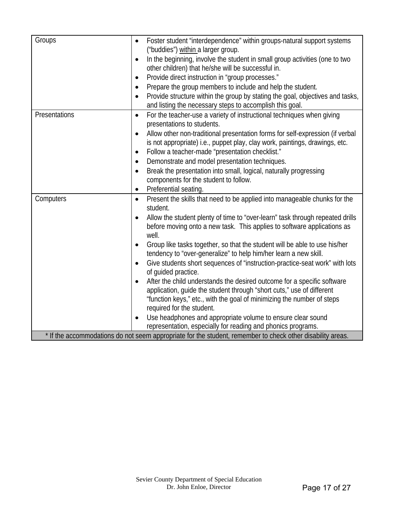| Groups        | Foster student "interdependence" within groups-natural support systems<br>$\bullet$<br>("buddies") within a larger group. |
|---------------|---------------------------------------------------------------------------------------------------------------------------|
|               |                                                                                                                           |
|               | In the beginning, involve the student in small group activities (one to two<br>$\bullet$                                  |
|               | other children) that he/she will be successful in.                                                                        |
|               | Provide direct instruction in "group processes."<br>$\bullet$                                                             |
|               | Prepare the group members to include and help the student.<br>$\bullet$                                                   |
|               | Provide structure within the group by stating the goal, objectives and tasks,<br>$\bullet$                                |
|               | and listing the necessary steps to accomplish this goal.                                                                  |
| Presentations | For the teacher-use a variety of instructional techniques when giving<br>$\bullet$                                        |
|               | presentations to students.                                                                                                |
|               | Allow other non-traditional presentation forms for self-expression (if verbal<br>$\bullet$                                |
|               | is not appropriate) i.e., puppet play, clay work, paintings, drawings, etc.                                               |
|               | Follow a teacher-made "presentation checklist."<br>$\bullet$                                                              |
|               | Demonstrate and model presentation techniques.<br>$\bullet$                                                               |
|               | Break the presentation into small, logical, naturally progressing<br>$\bullet$                                            |
|               | components for the student to follow.                                                                                     |
|               | Preferential seating.<br>$\bullet$                                                                                        |
|               |                                                                                                                           |
| Computers     | Present the skills that need to be applied into manageable chunks for the<br>$\bullet$                                    |
|               | student.                                                                                                                  |
|               | Allow the student plenty of time to "over-learn" task through repeated drills<br>$\bullet$                                |
|               | before moving onto a new task. This applies to software applications as                                                   |
|               | well.                                                                                                                     |
|               | Group like tasks together, so that the student will be able to use his/her                                                |
|               | tendency to "over-generalize" to help him/her learn a new skill.                                                          |
|               | Give students short sequences of "instruction-practice-seat work" with lots                                               |
|               | of guided practice.                                                                                                       |
|               | After the child understands the desired outcome for a specific software                                                   |
|               | application, guide the student through "short cuts," use of different                                                     |
|               | "function keys," etc., with the goal of minimizing the number of steps                                                    |
|               | required for the student.                                                                                                 |
|               | Use headphones and appropriate volume to ensure clear sound                                                               |
|               | representation, especially for reading and phonics programs.                                                              |
|               | * If the accommodations do not seem appropriate for the student, remember to check other disability areas.                |
|               |                                                                                                                           |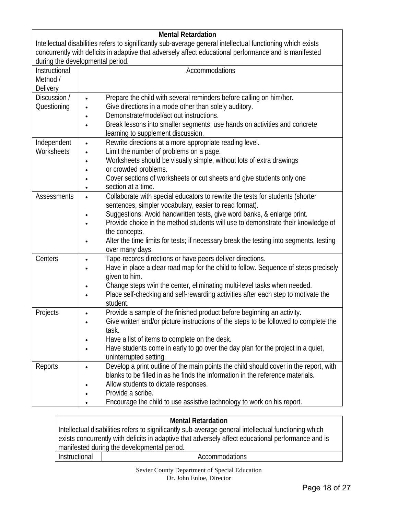|                                                                                                             | <b>Mental Retardation</b>                                                                          |  |
|-------------------------------------------------------------------------------------------------------------|----------------------------------------------------------------------------------------------------|--|
| Intellectual disabilities refers to significantly sub-average general intellectual functioning which exists |                                                                                                    |  |
| concurrently with deficits in adaptive that adversely affect educational performance and is manifested      |                                                                                                    |  |
|                                                                                                             | during the developmental period.                                                                   |  |
| Instructional                                                                                               | Accommodations                                                                                     |  |
| Method /                                                                                                    |                                                                                                    |  |
| Delivery                                                                                                    |                                                                                                    |  |
| Discussion /                                                                                                | Prepare the child with several reminders before calling on him/her.<br>$\bullet$                   |  |
| Questioning                                                                                                 | Give directions in a mode other than solely auditory.                                              |  |
|                                                                                                             | Demonstrate/model/act out instructions.                                                            |  |
|                                                                                                             | Break lessons into smaller segments; use hands on activities and concrete                          |  |
|                                                                                                             | learning to supplement discussion.                                                                 |  |
| Independent                                                                                                 | Rewrite directions at a more appropriate reading level.<br>$\bullet$                               |  |
| Worksheets                                                                                                  | Limit the number of problems on a page.                                                            |  |
|                                                                                                             | Worksheets should be visually simple, without lots of extra drawings                               |  |
|                                                                                                             | or crowded problems.                                                                               |  |
|                                                                                                             | Cover sections of worksheets or cut sheets and give students only one<br>section at a time.        |  |
| <b>Assessments</b>                                                                                          | Collaborate with special educators to rewrite the tests for students (shorter                      |  |
|                                                                                                             | $\bullet$<br>sentences, simpler vocabulary, easier to read format).                                |  |
|                                                                                                             | Suggestions: Avoid handwritten tests, give word banks, & enlarge print.                            |  |
|                                                                                                             | Provide choice in the method students will use to demonstrate their knowledge of                   |  |
|                                                                                                             | the concepts.                                                                                      |  |
|                                                                                                             | Alter the time limits for tests; if necessary break the testing into segments, testing             |  |
|                                                                                                             | over many days.                                                                                    |  |
| Centers                                                                                                     | Tape-records directions or have peers deliver directions.<br>$\bullet$                             |  |
|                                                                                                             | Have in place a clear road map for the child to follow. Sequence of steps precisely                |  |
|                                                                                                             | given to him.                                                                                      |  |
|                                                                                                             | Change steps w/in the center, eliminating multi-level tasks when needed.                           |  |
|                                                                                                             | Place self-checking and self-rewarding activities after each step to motivate the                  |  |
|                                                                                                             | student.                                                                                           |  |
| Projects                                                                                                    | Provide a sample of the finished product before beginning an activity.                             |  |
|                                                                                                             | Give written and/or picture instructions of the steps to be followed to complete the               |  |
|                                                                                                             | task.                                                                                              |  |
|                                                                                                             | Have a list of items to complete on the desk.                                                      |  |
|                                                                                                             | Have students come in early to go over the day plan for the project in a quiet,                    |  |
|                                                                                                             | uninterrupted setting.                                                                             |  |
| Reports                                                                                                     | Develop a print outline of the main points the child should cover in the report, with<br>$\bullet$ |  |
|                                                                                                             | blanks to be filled in as he finds the information in the reference materials.                     |  |
|                                                                                                             | Allow students to dictate responses.                                                               |  |
|                                                                                                             | Provide a scribe.                                                                                  |  |
|                                                                                                             | Encourage the child to use assistive technology to work on his report.                             |  |

#### **Mental Retardation**

Intellectual disabilities refers to significantly sub-average general intellectual functioning which exists concurrently with deficits in adaptive that adversely affect educational performance and is manifested during the developmental period. Instructional | accommodations

> Sevier County Department of Special Education Dr. John Enloe, Director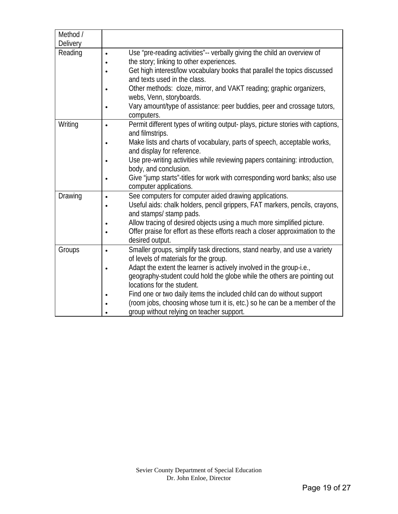| Method /        |           |                                                                                 |
|-----------------|-----------|---------------------------------------------------------------------------------|
| <b>Delivery</b> |           |                                                                                 |
| Reading         | $\bullet$ | Use "pre-reading activities"-- verbally giving the child an overview of         |
|                 |           | the story; linking to other experiences.                                        |
|                 |           | Get high interest/low vocabulary books that parallel the topics discussed       |
|                 |           | and texts used in the class.                                                    |
|                 |           | Other methods: cloze, mirror, and VAKT reading; graphic organizers,             |
|                 |           | webs, Venn, storyboards.                                                        |
|                 | $\bullet$ | Vary amount/type of assistance: peer buddies, peer and crossage tutors,         |
|                 |           | computers.                                                                      |
| Writing         | $\bullet$ | Permit different types of writing output- plays, picture stories with captions, |
|                 |           | and filmstrips.                                                                 |
|                 | $\bullet$ | Make lists and charts of vocabulary, parts of speech, acceptable works,         |
|                 |           | and display for reference.                                                      |
|                 |           | Use pre-writing activities while reviewing papers containing: introduction,     |
|                 |           | body, and conclusion.                                                           |
|                 |           | Give "jump starts"-titles for work with corresponding word banks; also use      |
|                 |           | computer applications.                                                          |
| Drawing         | $\bullet$ | See computers for computer aided drawing applications.                          |
|                 | $\bullet$ | Useful aids: chalk holders, pencil grippers, FAT markers, pencils, crayons,     |
|                 |           | and stamps/ stamp pads.                                                         |
|                 | $\bullet$ | Allow tracing of desired objects using a much more simplified picture.          |
|                 |           | Offer praise for effort as these efforts reach a closer approximation to the    |
|                 |           | desired output.                                                                 |
| Groups          | $\bullet$ | Smaller groups, simplify task directions, stand nearby, and use a variety       |
|                 |           | of levels of materials for the group.                                           |
|                 | $\bullet$ | Adapt the extent the learner is actively involved in the group-i.e.,            |
|                 |           | geography-student could hold the globe while the others are pointing out        |
|                 |           | locations for the student.                                                      |
|                 |           | Find one or two daily items the included child can do without support           |
|                 |           | (room jobs, choosing whose turn it is, etc.) so he can be a member of the       |
|                 |           | group without relying on teacher support.                                       |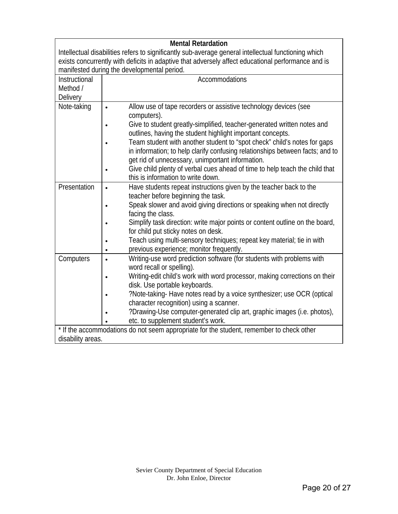| <b>Mental Retardation</b>                                                                            |                                                                                                    |  |  |
|------------------------------------------------------------------------------------------------------|----------------------------------------------------------------------------------------------------|--|--|
| Intellectual disabilities refers to significantly sub-average general intellectual functioning which |                                                                                                    |  |  |
|                                                                                                      | exists concurrently with deficits in adaptive that adversely affect educational performance and is |  |  |
|                                                                                                      | manifested during the developmental period.                                                        |  |  |
| Instructional                                                                                        | Accommodations                                                                                     |  |  |
| Method /                                                                                             |                                                                                                    |  |  |
| Delivery                                                                                             |                                                                                                    |  |  |
| Note-taking                                                                                          | Allow use of tape recorders or assistive technology devices (see<br>$\bullet$                      |  |  |
|                                                                                                      | computers).                                                                                        |  |  |
|                                                                                                      | Give to student greatly-simplified, teacher-generated written notes and<br>$\bullet$               |  |  |
|                                                                                                      | outlines, having the student highlight important concepts.                                         |  |  |
|                                                                                                      | Team student with another student to "spot check" child's notes for gaps                           |  |  |
|                                                                                                      | in information; to help clarify confusing relationships between facts; and to                      |  |  |
|                                                                                                      | get rid of unnecessary, unimportant information.                                                   |  |  |
|                                                                                                      | Give child plenty of verbal cues ahead of time to help teach the child that                        |  |  |
|                                                                                                      | this is information to write down.                                                                 |  |  |
| Presentation                                                                                         | Have students repeat instructions given by the teacher back to the<br>$\bullet$                    |  |  |
|                                                                                                      | teacher before beginning the task.                                                                 |  |  |
|                                                                                                      | Speak slower and avoid giving directions or speaking when not directly                             |  |  |
|                                                                                                      | facing the class.                                                                                  |  |  |
|                                                                                                      | Simplify task direction: write major points or content outline on the board,<br>$\bullet$          |  |  |
|                                                                                                      | for child put sticky notes on desk.                                                                |  |  |
|                                                                                                      | Teach using multi-sensory techniques; repeat key material; tie in with                             |  |  |
|                                                                                                      | previous experience; monitor frequently.                                                           |  |  |
| Computers                                                                                            | Writing-use word prediction software (for students with problems with<br>$\bullet$                 |  |  |
|                                                                                                      | word recall or spelling).                                                                          |  |  |
|                                                                                                      | Writing-edit child's work with word processor, making corrections on their<br>$\bullet$            |  |  |
|                                                                                                      | disk. Use portable keyboards.                                                                      |  |  |
|                                                                                                      | ?Note-taking- Have notes read by a voice synthesizer; use OCR (optical                             |  |  |
|                                                                                                      | character recognition) using a scanner.                                                            |  |  |
|                                                                                                      | ?Drawing-Use computer-generated clip art, graphic images (i.e. photos),                            |  |  |
|                                                                                                      | etc. to supplement student's work.                                                                 |  |  |
| * If the accommodations do not seem appropriate for the student, remember to check other             |                                                                                                    |  |  |
| disability areas.                                                                                    |                                                                                                    |  |  |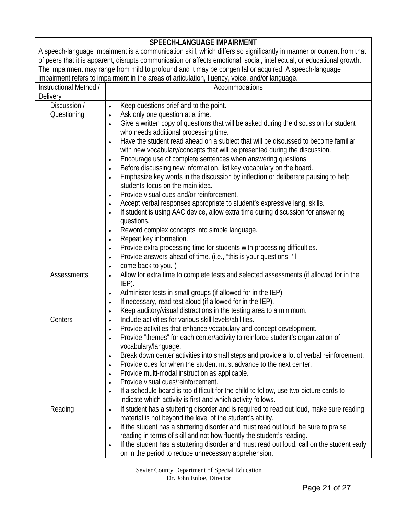| <b>SPEECH-LANGUAGE IMPAIRMENT</b>                                                                                       |                                                                                                         |  |
|-------------------------------------------------------------------------------------------------------------------------|---------------------------------------------------------------------------------------------------------|--|
| A speech-language impairment is a communication skill, which differs so significantly in manner or content from that    |                                                                                                         |  |
| of peers that it is apparent, disrupts communication or affects emotional, social, intellectual, or educational growth. |                                                                                                         |  |
| The impairment may range from mild to profound and it may be congenital or acquired. A speech-language                  |                                                                                                         |  |
|                                                                                                                         | impairment refers to impairment in the areas of articulation, fluency, voice, and/or language.          |  |
| Instructional Method /                                                                                                  | Accommodations                                                                                          |  |
| <b>Delivery</b>                                                                                                         |                                                                                                         |  |
| Discussion /                                                                                                            | Keep questions brief and to the point.                                                                  |  |
| Questioning                                                                                                             | Ask only one question at a time.                                                                        |  |
|                                                                                                                         | Give a written copy of questions that will be asked during the discussion for student                   |  |
|                                                                                                                         | who needs additional processing time.                                                                   |  |
|                                                                                                                         | Have the student read ahead on a subject that will be discussed to become familiar<br>$\bullet$         |  |
|                                                                                                                         | with new vocabulary/concepts that will be presented during the discussion.                              |  |
|                                                                                                                         | Encourage use of complete sentences when answering questions.                                           |  |
|                                                                                                                         | Before discussing new information, list key vocabulary on the board.                                    |  |
|                                                                                                                         | Emphasize key words in the discussion by inflection or deliberate pausing to help                       |  |
|                                                                                                                         | students focus on the main idea.                                                                        |  |
|                                                                                                                         | Provide visual cues and/or reinforcement.                                                               |  |
|                                                                                                                         | Accept verbal responses appropriate to student's expressive lang. skills.<br>$\bullet$                  |  |
|                                                                                                                         | If student is using AAC device, allow extra time during discussion for answering                        |  |
|                                                                                                                         | questions.                                                                                              |  |
|                                                                                                                         | Reword complex concepts into simple language.                                                           |  |
|                                                                                                                         | Repeat key information.                                                                                 |  |
|                                                                                                                         | Provide extra processing time for students with processing difficulties.                                |  |
|                                                                                                                         | Provide answers ahead of time. (i.e., "this is your questions-I'll                                      |  |
|                                                                                                                         | come back to you.")<br>$\bullet$                                                                        |  |
| <b>Assessments</b>                                                                                                      | Allow for extra time to complete tests and selected assessments (if allowed for in the<br>$\bullet$     |  |
|                                                                                                                         | IEP).                                                                                                   |  |
|                                                                                                                         | Administer tests in small groups (if allowed for in the IEP).<br>$\bullet$                              |  |
|                                                                                                                         | If necessary, read test aloud (if allowed for in the IEP).<br>$\bullet$                                 |  |
|                                                                                                                         | Keep auditory/visual distractions in the testing area to a minimum.<br>$\bullet$                        |  |
| Centers                                                                                                                 | Include activities for various skill levels/abilities.                                                  |  |
|                                                                                                                         | Provide activities that enhance vocabulary and concept development.                                     |  |
|                                                                                                                         | Provide "themes" for each center/activity to reinforce student's organization of                        |  |
|                                                                                                                         | vocabulary/language.                                                                                    |  |
|                                                                                                                         | Break down center activities into small steps and provide a lot of verbal reinforcement.                |  |
|                                                                                                                         | Provide cues for when the student must advance to the next center.                                      |  |
|                                                                                                                         | Provide multi-modal instruction as applicable.                                                          |  |
|                                                                                                                         | Provide visual cues/reinforcement.                                                                      |  |
|                                                                                                                         | If a schedule board is too difficult for the child to follow, use two picture cards to                  |  |
|                                                                                                                         | indicate which activity is first and which activity follows.                                            |  |
| Reading                                                                                                                 | If student has a stuttering disorder and is required to read out loud, make sure reading<br>$\bullet$   |  |
|                                                                                                                         | material is not beyond the level of the student's ability.                                              |  |
|                                                                                                                         | If the student has a stuttering disorder and must read out loud, be sure to praise                      |  |
|                                                                                                                         | reading in terms of skill and not how fluently the student's reading.                                   |  |
|                                                                                                                         | If the student has a stuttering disorder and must read out loud, call on the student early<br>$\bullet$ |  |
|                                                                                                                         | on in the period to reduce unnecessary apprehension.                                                    |  |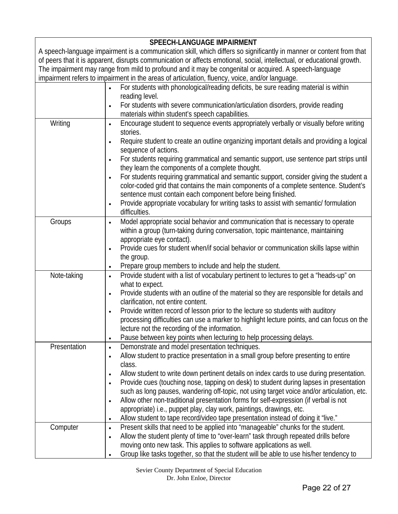| <b>SPEECH-LANGUAGE IMPAIRMENT</b> |                                                                                                                         |  |
|-----------------------------------|-------------------------------------------------------------------------------------------------------------------------|--|
|                                   | A speech-language impairment is a communication skill, which differs so significantly in manner or content from that    |  |
|                                   | of peers that it is apparent, disrupts communication or affects emotional, social, intellectual, or educational growth. |  |
|                                   | The impairment may range from mild to profound and it may be congenital or acquired. A speech-language                  |  |
|                                   | impairment refers to impairment in the areas of articulation, fluency, voice, and/or language.                          |  |
|                                   | For students with phonological/reading deficits, be sure reading material is within                                     |  |
|                                   | reading level.                                                                                                          |  |
|                                   | For students with severe communication/articulation disorders, provide reading<br>$\bullet$                             |  |
|                                   | materials within student's speech capabilities.                                                                         |  |
| Writing                           | Encourage student to sequence events appropriately verbally or visually before writing<br>$\bullet$                     |  |
|                                   | stories.                                                                                                                |  |
|                                   | Require student to create an outline organizing important details and providing a logical                               |  |
|                                   | sequence of actions.                                                                                                    |  |
|                                   | For students requiring grammatical and semantic support, use sentence part strips until                                 |  |
|                                   | they learn the components of a complete thought.                                                                        |  |
|                                   |                                                                                                                         |  |
|                                   | For students requiring grammatical and semantic support, consider giving the student a                                  |  |
|                                   | color-coded grid that contains the main components of a complete sentence. Student's                                    |  |
|                                   | sentence must contain each component before being finished.                                                             |  |
|                                   | Provide appropriate vocabulary for writing tasks to assist with semantic/ formulation                                   |  |
|                                   | difficulties.                                                                                                           |  |
| Groups                            | Model appropriate social behavior and communication that is necessary to operate<br>$\bullet$                           |  |
|                                   | within a group (turn-taking during conversation, topic maintenance, maintaining                                         |  |
|                                   | appropriate eye contact).                                                                                               |  |
|                                   | Provide cues for student when/if social behavior or communication skills lapse within                                   |  |
|                                   | the group.                                                                                                              |  |
|                                   | Prepare group members to include and help the student.                                                                  |  |
| Note-taking                       | Provide student with a list of vocabulary pertinent to lectures to get a "heads-up" on<br>$\bullet$                     |  |
|                                   | what to expect.                                                                                                         |  |
|                                   | Provide students with an outline of the material so they are responsible for details and                                |  |
|                                   | clarification, not entire content.                                                                                      |  |
|                                   | Provide written record of lesson prior to the lecture so students with auditory<br>$\bullet$                            |  |
|                                   | processing difficulties can use a marker to highlight lecture points, and can focus on the                              |  |
|                                   | lecture not the recording of the information.                                                                           |  |
|                                   | Pause between key points when lecturing to help processing delays.<br>$\bullet$                                         |  |
| Presentation                      | Demonstrate and model presentation techniques.<br>$\bullet$                                                             |  |
|                                   | Allow student to practice presentation in a small group before presenting to entire<br>$\bullet$                        |  |
|                                   | class.                                                                                                                  |  |
|                                   | Allow student to write down pertinent details on index cards to use during presentation.<br>$\bullet$                   |  |
|                                   | Provide cues (touching nose, tapping on desk) to student during lapses in presentation                                  |  |
|                                   | such as long pauses, wandering off-topic, not using target voice and/or articulation, etc.                              |  |
|                                   | Allow other non-traditional presentation forms for self-expression (if verbal is not<br>$\bullet$                       |  |
|                                   | appropriate) i.e., puppet play, clay work, paintings, drawings, etc.                                                    |  |
|                                   | Allow student to tape record/video tape presentation instead of doing it "live."                                        |  |
| Computer                          | Present skills that need to be applied into "manageable" chunks for the student.<br>$\bullet$                           |  |
|                                   | Allow the student plenty of time to "over-learn" task through repeated drills before                                    |  |
|                                   | moving onto new task. This applies to software applications as well.                                                    |  |
|                                   | Group like tasks together, so that the student will be able to use his/her tendency to                                  |  |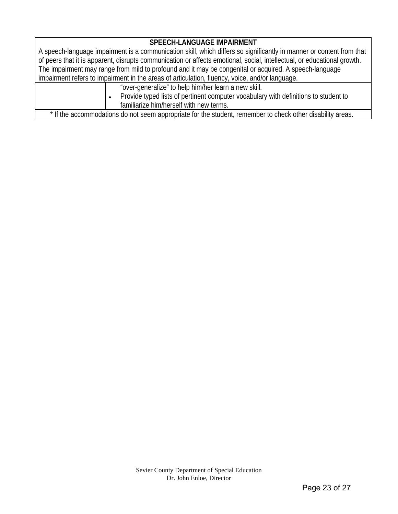#### **SPEECH-LANGUAGE IMPAIRMENT**

A speech-language impairment is a communication skill, which differs so significantly in manner or content from that of peers that it is apparent, disrupts communication or affects emotional, social, intellectual, or educational growth. The impairment may range from mild to profound and it may be congenital or acquired. A speech-language impairment refers to impairment in the areas of articulation, fluency, voice, and/or language.

- "over-generalize" to help him/her learn a new skill.
- Provide typed lists of pertinent computer vocabulary with definitions to student to familiarize him/herself with new terms.

\* If the accommodations do not seem appropriate for the student, remember to check other disability areas.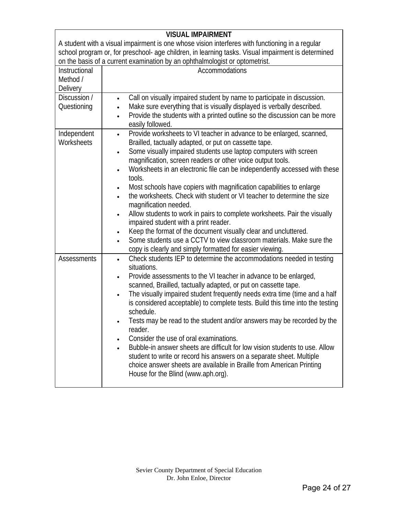|                                                                                                    | <b>VISUAL IMPAIRMENT</b>                                                                        |  |
|----------------------------------------------------------------------------------------------------|-------------------------------------------------------------------------------------------------|--|
|                                                                                                    | A student with a visual impairment is one whose vision interferes with functioning in a regular |  |
| school program or, for preschool- age children, in learning tasks. Visual impairment is determined |                                                                                                 |  |
| on the basis of a current examination by an ophthalmologist or optometrist.                        |                                                                                                 |  |
| Instructional                                                                                      | Accommodations                                                                                  |  |
| Method /                                                                                           |                                                                                                 |  |
| Delivery                                                                                           |                                                                                                 |  |
| Discussion /                                                                                       | Call on visually impaired student by name to participate in discussion.<br>$\bullet$            |  |
| Questioning                                                                                        | Make sure everything that is visually displayed is verbally described.                          |  |
|                                                                                                    | Provide the students with a printed outline so the discussion can be more<br>$\bullet$          |  |
|                                                                                                    | easily followed.                                                                                |  |
| Independent                                                                                        | Provide worksheets to VI teacher in advance to be enlarged, scanned,<br>$\bullet$               |  |
| Worksheets                                                                                         | Brailled, tactually adapted, or put on cassette tape.                                           |  |
|                                                                                                    | Some visually impaired students use laptop computers with screen<br>$\bullet$                   |  |
|                                                                                                    | magnification, screen readers or other voice output tools.                                      |  |
|                                                                                                    | Worksheets in an electronic file can be independently accessed with these<br>٠                  |  |
|                                                                                                    | tools.                                                                                          |  |
|                                                                                                    | Most schools have copiers with magnification capabilities to enlarge                            |  |
|                                                                                                    | the worksheets. Check with student or VI teacher to determine the size                          |  |
|                                                                                                    | magnification needed.                                                                           |  |
|                                                                                                    | Allow students to work in pairs to complete worksheets. Pair the visually                       |  |
|                                                                                                    | impaired student with a print reader.                                                           |  |
|                                                                                                    | Keep the format of the document visually clear and uncluttered.<br>٠                            |  |
|                                                                                                    | Some students use a CCTV to view classroom materials. Make sure the<br>$\bullet$                |  |
|                                                                                                    | copy is clearly and simply formatted for easier viewing.                                        |  |
| Assessments                                                                                        | Check students IEP to determine the accommodations needed in testing<br>$\bullet$               |  |
|                                                                                                    | situations.                                                                                     |  |
|                                                                                                    | Provide assessments to the VI teacher in advance to be enlarged,                                |  |
|                                                                                                    | scanned, Brailled, tactually adapted, or put on cassette tape.                                  |  |
|                                                                                                    | The visually impaired student frequently needs extra time (time and a half<br>$\bullet$         |  |
|                                                                                                    | is considered acceptable) to complete tests. Build this time into the testing                   |  |
|                                                                                                    | schedule.                                                                                       |  |
|                                                                                                    | Tests may be read to the student and/or answers may be recorded by the                          |  |
|                                                                                                    | reader.                                                                                         |  |
|                                                                                                    | Consider the use of oral examinations.                                                          |  |
|                                                                                                    | Bubble-in answer sheets are difficult for low vision students to use. Allow                     |  |
|                                                                                                    | student to write or record his answers on a separate sheet. Multiple                            |  |
|                                                                                                    | choice answer sheets are available in Braille from American Printing                            |  |
|                                                                                                    | House for the Blind (www.aph.org).                                                              |  |
|                                                                                                    |                                                                                                 |  |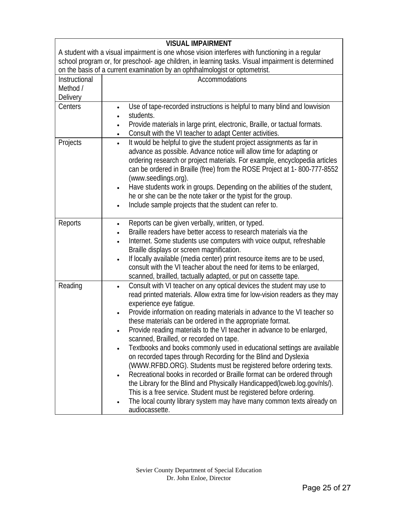| <b>VISUAL IMPAIRMENT</b>                                                                           |                                                                                                                                                                                                                                                                                                                                                                                                                                                                                                                                                                                                                                                                                                                                                                                                                                                                                                                                                                                                                                                |  |  |
|----------------------------------------------------------------------------------------------------|------------------------------------------------------------------------------------------------------------------------------------------------------------------------------------------------------------------------------------------------------------------------------------------------------------------------------------------------------------------------------------------------------------------------------------------------------------------------------------------------------------------------------------------------------------------------------------------------------------------------------------------------------------------------------------------------------------------------------------------------------------------------------------------------------------------------------------------------------------------------------------------------------------------------------------------------------------------------------------------------------------------------------------------------|--|--|
| A student with a visual impairment is one whose vision interferes with functioning in a regular    |                                                                                                                                                                                                                                                                                                                                                                                                                                                                                                                                                                                                                                                                                                                                                                                                                                                                                                                                                                                                                                                |  |  |
| school program or, for preschool- age children, in learning tasks. Visual impairment is determined |                                                                                                                                                                                                                                                                                                                                                                                                                                                                                                                                                                                                                                                                                                                                                                                                                                                                                                                                                                                                                                                |  |  |
|                                                                                                    | on the basis of a current examination by an ophthalmologist or optometrist.                                                                                                                                                                                                                                                                                                                                                                                                                                                                                                                                                                                                                                                                                                                                                                                                                                                                                                                                                                    |  |  |
| Instructional                                                                                      | Accommodations                                                                                                                                                                                                                                                                                                                                                                                                                                                                                                                                                                                                                                                                                                                                                                                                                                                                                                                                                                                                                                 |  |  |
| Method /                                                                                           |                                                                                                                                                                                                                                                                                                                                                                                                                                                                                                                                                                                                                                                                                                                                                                                                                                                                                                                                                                                                                                                |  |  |
| Delivery                                                                                           |                                                                                                                                                                                                                                                                                                                                                                                                                                                                                                                                                                                                                                                                                                                                                                                                                                                                                                                                                                                                                                                |  |  |
| Centers                                                                                            | Use of tape-recorded instructions is helpful to many blind and lowvision<br>$\bullet$<br>students.<br>$\bullet$                                                                                                                                                                                                                                                                                                                                                                                                                                                                                                                                                                                                                                                                                                                                                                                                                                                                                                                                |  |  |
|                                                                                                    | Provide materials in large print, electronic, Braille, or tactual formats.<br>$\bullet$                                                                                                                                                                                                                                                                                                                                                                                                                                                                                                                                                                                                                                                                                                                                                                                                                                                                                                                                                        |  |  |
|                                                                                                    | Consult with the VI teacher to adapt Center activities.<br>٠                                                                                                                                                                                                                                                                                                                                                                                                                                                                                                                                                                                                                                                                                                                                                                                                                                                                                                                                                                                   |  |  |
| Projects                                                                                           | It would be helpful to give the student project assignments as far in<br>$\bullet$<br>advance as possible. Advance notice will allow time for adapting or<br>ordering research or project materials. For example, encyclopedia articles<br>can be ordered in Braille (free) from the ROSE Project at 1-800-777-8552<br>(www.seedlings.org).<br>Have students work in groups. Depending on the abilities of the student,<br>٠<br>he or she can be the note taker or the typist for the group.<br>Include sample projects that the student can refer to.<br>$\bullet$                                                                                                                                                                                                                                                                                                                                                                                                                                                                            |  |  |
| Reports                                                                                            | Reports can be given verbally, written, or typed.<br>٠<br>Braille readers have better access to research materials via the<br>$\bullet$<br>Internet. Some students use computers with voice output, refreshable<br>$\bullet$<br>Braille displays or screen magnification.<br>If locally available (media center) print resource items are to be used,<br>$\bullet$<br>consult with the VI teacher about the need for items to be enlarged,<br>scanned, brailled, tactually adapted, or put on cassette tape.                                                                                                                                                                                                                                                                                                                                                                                                                                                                                                                                   |  |  |
| Reading                                                                                            | Consult with VI teacher on any optical devices the student may use to<br>$\bullet$<br>read printed materials. Allow extra time for low-vision readers as they may<br>experience eye fatigue.<br>Provide information on reading materials in advance to the VI teacher so<br>$\bullet$<br>these materials can be ordered in the appropriate format.<br>Provide reading materials to the VI teacher in advance to be enlarged,<br>scanned, Brailled, or recorded on tape.<br>Textbooks and books commonly used in educational settings are available<br>$\bullet$<br>on recorded tapes through Recording for the Blind and Dyslexia<br>(WWW.RFBD.ORG). Students must be registered before ordering texts.<br>Recreational books in recorded or Braille format can be ordered through<br>$\bullet$<br>the Library for the Blind and Physically Handicapped(Icweb.log.gov/nls/).<br>This is a free service. Student must be registered before ordering.<br>The local county library system may have many common texts already on<br>audiocassette. |  |  |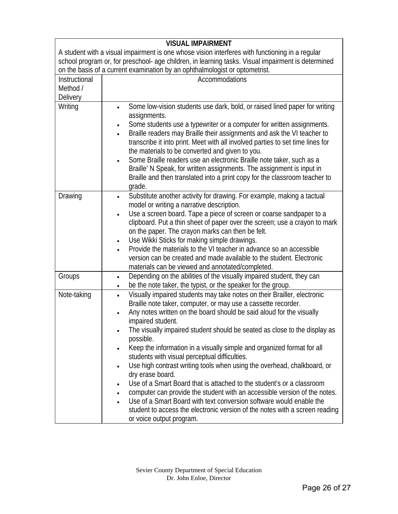|                                                                                                    | <b>VISUAL IMPAIRMENT</b>                                                                                                                                                                                                                                                                                                                                                                                                                                                                                                                                                                                                                                                                                                                                                                                                                                                                                                                              |  |
|----------------------------------------------------------------------------------------------------|-------------------------------------------------------------------------------------------------------------------------------------------------------------------------------------------------------------------------------------------------------------------------------------------------------------------------------------------------------------------------------------------------------------------------------------------------------------------------------------------------------------------------------------------------------------------------------------------------------------------------------------------------------------------------------------------------------------------------------------------------------------------------------------------------------------------------------------------------------------------------------------------------------------------------------------------------------|--|
| A student with a visual impairment is one whose vision interferes with functioning in a regular    |                                                                                                                                                                                                                                                                                                                                                                                                                                                                                                                                                                                                                                                                                                                                                                                                                                                                                                                                                       |  |
| school program or, for preschool- age children, in learning tasks. Visual impairment is determined |                                                                                                                                                                                                                                                                                                                                                                                                                                                                                                                                                                                                                                                                                                                                                                                                                                                                                                                                                       |  |
|                                                                                                    | on the basis of a current examination by an ophthalmologist or optometrist.                                                                                                                                                                                                                                                                                                                                                                                                                                                                                                                                                                                                                                                                                                                                                                                                                                                                           |  |
| Instructional                                                                                      | Accommodations                                                                                                                                                                                                                                                                                                                                                                                                                                                                                                                                                                                                                                                                                                                                                                                                                                                                                                                                        |  |
| Method /                                                                                           |                                                                                                                                                                                                                                                                                                                                                                                                                                                                                                                                                                                                                                                                                                                                                                                                                                                                                                                                                       |  |
| <b>Delivery</b>                                                                                    |                                                                                                                                                                                                                                                                                                                                                                                                                                                                                                                                                                                                                                                                                                                                                                                                                                                                                                                                                       |  |
| Writing                                                                                            | Some low-vision students use dark, bold, or raised lined paper for writing<br>assignments.<br>Some students use a typewriter or a computer for written assignments.<br>٠<br>Braille readers may Braille their assignments and ask the VI teacher to<br>٠<br>transcribe it into print. Meet with all involved parties to set time lines for<br>the materials to be converted and given to you.<br>Some Braille readers use an electronic Braille note taker, such as a<br>$\bullet$<br>Braille' N Speak, for written assignments. The assignment is input in<br>Braille and then translated into a print copy for the classroom teacher to                                                                                                                                                                                                                                                                                                             |  |
|                                                                                                    | grade.                                                                                                                                                                                                                                                                                                                                                                                                                                                                                                                                                                                                                                                                                                                                                                                                                                                                                                                                                |  |
| Drawing                                                                                            | Substitute another activity for drawing. For example, making a tactual<br>$\bullet$<br>model or writing a narrative description.                                                                                                                                                                                                                                                                                                                                                                                                                                                                                                                                                                                                                                                                                                                                                                                                                      |  |
|                                                                                                    | Use a screen board. Tape a piece of screen or coarse sandpaper to a<br>$\bullet$<br>clipboard. Put a thin sheet of paper over the screen; use a crayon to mark<br>on the paper. The crayon marks can then be felt.<br>Use Wikki Sticks for making simple drawings.<br>Provide the materials to the VI teacher in advance so an accessible<br>version can be created and made available to the student. Electronic                                                                                                                                                                                                                                                                                                                                                                                                                                                                                                                                     |  |
|                                                                                                    | materials can be viewed and annotated/completed.                                                                                                                                                                                                                                                                                                                                                                                                                                                                                                                                                                                                                                                                                                                                                                                                                                                                                                      |  |
| Groups                                                                                             | Depending on the abilities of the visually impaired student, they can<br>٠<br>be the note taker, the typist, or the speaker for the group.                                                                                                                                                                                                                                                                                                                                                                                                                                                                                                                                                                                                                                                                                                                                                                                                            |  |
| Note-taking                                                                                        | Visually impaired students may take notes on their Brailler, electronic<br>$\bullet$<br>Braille note taker, computer, or may use a cassette recorder.<br>Any notes written on the board should be said aloud for the visually<br>$\bullet$<br>impaired student.<br>The visually impaired student should be seated as close to the display as<br>possible.<br>Keep the information in a visually simple and organized format for all<br>$\bullet$<br>students with visual perceptual difficulties.<br>Use high contrast writing tools when using the overhead, chalkboard, or<br>$\bullet$<br>dry erase board.<br>Use of a Smart Board that is attached to the student's or a classroom<br>computer can provide the student with an accessible version of the notes.<br>Use of a Smart Board with text conversion software would enable the<br>student to access the electronic version of the notes with a screen reading<br>or voice output program. |  |